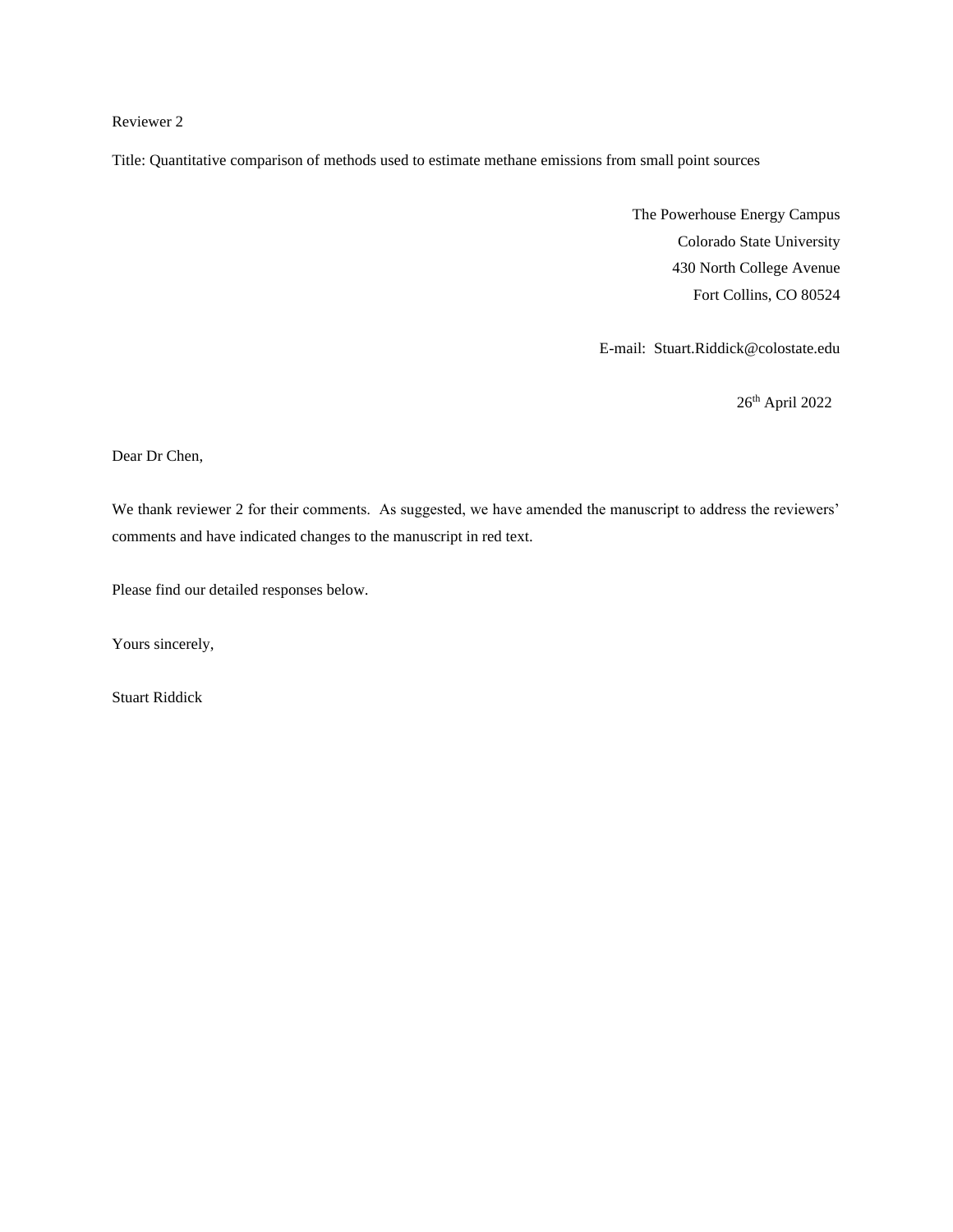# Reviewer 2

Title: Quantitative comparison of methods used to estimate methane emissions from small point sources

The Powerhouse Energy Campus Colorado State University 430 North College Avenue Fort Collins, CO 80524

E-mail: Stuart.Riddick@colostate.edu

26th April 2022

Dear Dr Chen,

We thank reviewer 2 for their comments. As suggested, we have amended the manuscript to address the reviewers' comments and have indicated changes to the manuscript in red text.

Please find our detailed responses below.

Yours sincerely,

Stuart Riddick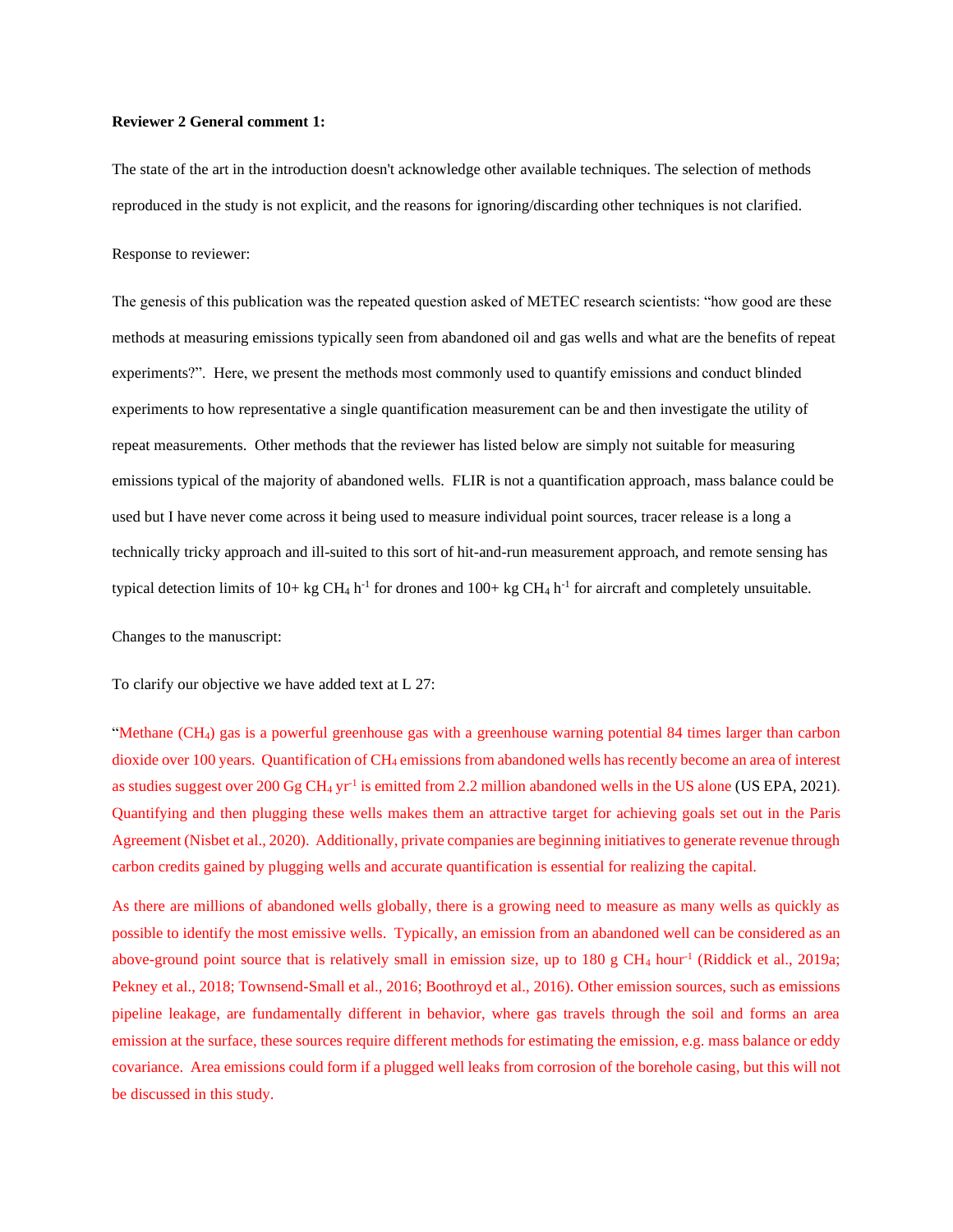## **Reviewer 2 General comment 1:**

The state of the art in the introduction doesn't acknowledge other available techniques. The selection of methods reproduced in the study is not explicit, and the reasons for ignoring/discarding other techniques is not clarified.

Response to reviewer:

The genesis of this publication was the repeated question asked of METEC research scientists: "how good are these methods at measuring emissions typically seen from abandoned oil and gas wells and what are the benefits of repeat experiments?". Here, we present the methods most commonly used to quantify emissions and conduct blinded experiments to how representative a single quantification measurement can be and then investigate the utility of repeat measurements. Other methods that the reviewer has listed below are simply not suitable for measuring emissions typical of the majority of abandoned wells. FLIR is not a quantification approach, mass balance could be used but I have never come across it being used to measure individual point sources, tracer release is a long a technically tricky approach and ill-suited to this sort of hit-and-run measurement approach, and remote sensing has typical detection limits of  $10+kg CH_4 h^{-1}$  for drones and  $100+kg CH_4 h^{-1}$  for aircraft and completely unsuitable.

Changes to the manuscript:

To clarify our objective we have added text at L 27:

"Methane (CH4) gas is a powerful greenhouse gas with a greenhouse warning potential 84 times larger than carbon dioxide over 100 years. Quantification of CH<sup>4</sup> emissions from abandoned wells has recently become an area of interest as studies suggest over  $200 \text{ Gg } CH_4 \text{ yr}^{-1}$  is emitted from 2.2 million abandoned wells in the US alone (US EPA, 2021). Quantifying and then plugging these wells makes them an attractive target for achieving goals set out in the Paris Agreement (Nisbet et al., 2020). Additionally, private companies are beginning initiatives to generate revenue through carbon credits gained by plugging wells and accurate quantification is essential for realizing the capital.

As there are millions of abandoned wells globally, there is a growing need to measure as many wells as quickly as possible to identify the most emissive wells. Typically, an emission from an abandoned well can be considered as an above-ground point source that is relatively small in emission size, up to 180 g CH<sub>4</sub> hour<sup>-1</sup> (Riddick et al., 2019a; Pekney et al., 2018; Townsend-Small et al., 2016; Boothroyd et al., 2016). Other emission sources, such as emissions pipeline leakage, are fundamentally different in behavior, where gas travels through the soil and forms an area emission at the surface, these sources require different methods for estimating the emission, e.g. mass balance or eddy covariance. Area emissions could form if a plugged well leaks from corrosion of the borehole casing, but this will not be discussed in this study.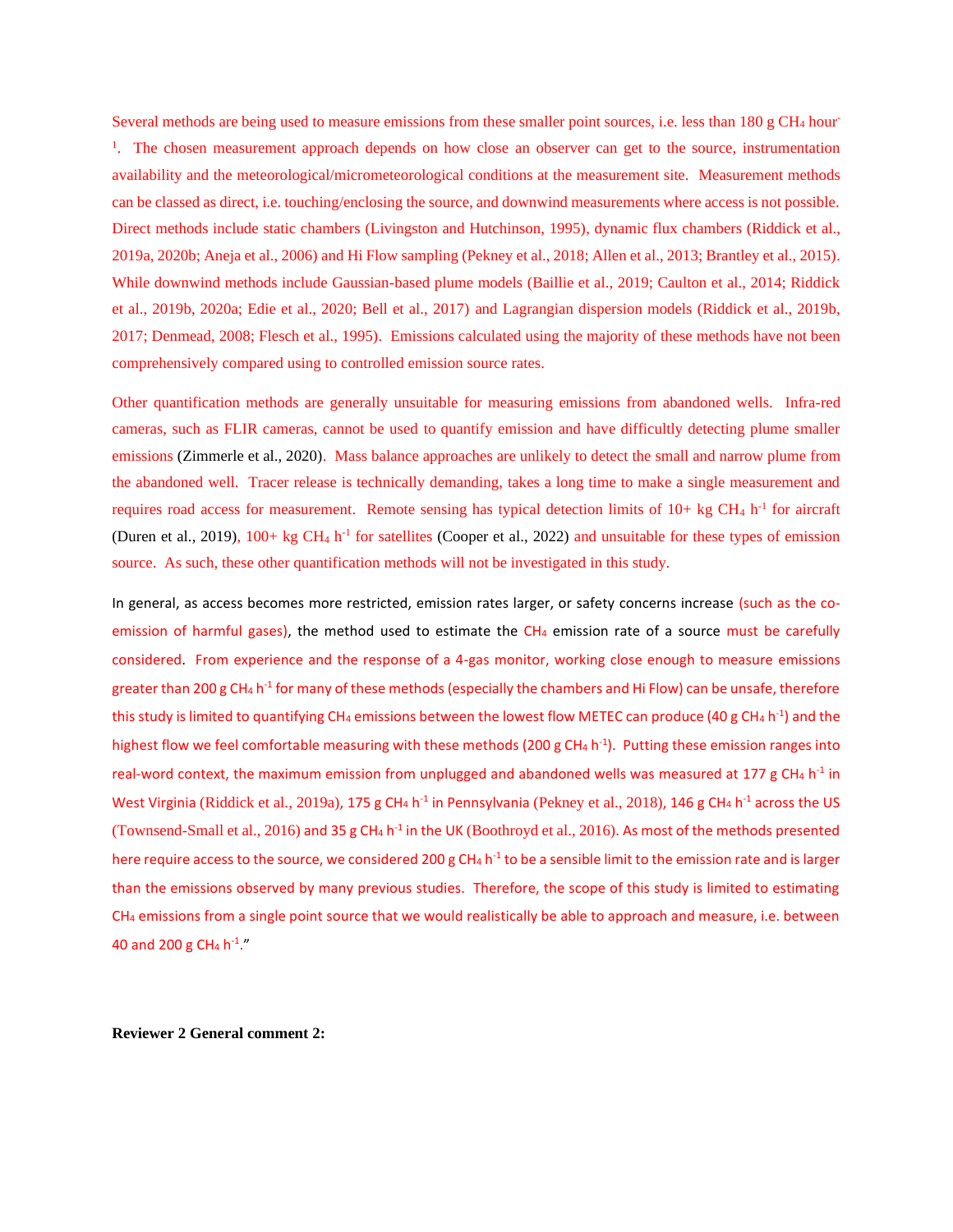Several methods are being used to measure emissions from these smaller point sources, i.e. less than 180 g CH<sub>4</sub> hour-<sup>1</sup>. The chosen measurement approach depends on how close an observer can get to the source, instrumentation availability and the meteorological/micrometeorological conditions at the measurement site. Measurement methods can be classed as direct, i.e. touching/enclosing the source, and downwind measurements where access is not possible. Direct methods include static chambers (Livingston and Hutchinson, 1995), dynamic flux chambers (Riddick et al., 2019a, 2020b; Aneja et al., 2006) and Hi Flow sampling (Pekney et al., 2018; Allen et al., 2013; Brantley et al., 2015). While downwind methods include Gaussian-based plume models (Baillie et al., 2019; Caulton et al., 2014; Riddick et al., 2019b, 2020a; Edie et al., 2020; Bell et al., 2017) and Lagrangian dispersion models (Riddick et al., 2019b, 2017; Denmead, 2008; Flesch et al., 1995). Emissions calculated using the majority of these methods have not been comprehensively compared using to controlled emission source rates.

Other quantification methods are generally unsuitable for measuring emissions from abandoned wells. Infra-red cameras, such as FLIR cameras, cannot be used to quantify emission and have difficultly detecting plume smaller emissions (Zimmerle et al., 2020). Mass balance approaches are unlikely to detect the small and narrow plume from the abandoned well. Tracer release is technically demanding, takes a long time to make a single measurement and requires road access for measurement. Remote sensing has typical detection limits of  $10+$  kg CH<sub>4</sub> h<sup>-1</sup> for aircraft (Duren et al., 2019), 100+ kg CH<sub>4</sub> h<sup>-1</sup> for satellites (Cooper et al., 2022) and unsuitable for these types of emission source. As such, these other quantification methods will not be investigated in this study.

In general, as access becomes more restricted, emission rates larger, or safety concerns increase (such as the coemission of harmful gases), the method used to estimate the  $CH_4$  emission rate of a source must be carefully considered. From experience and the response of a 4-gas monitor, working close enough to measure emissions greater than 200 g CH<sub>4</sub> h<sup>-1</sup> for many of these methods (especially the chambers and Hi Flow) can be unsafe, therefore this study is limited to quantifying CH<sub>4</sub> emissions between the lowest flow METEC can produce (40 g CH<sub>4</sub> h<sup>-1</sup>) and the highest flow we feel comfortable measuring with these methods (200 g CH<sub>4</sub> h<sup>-1</sup>). Putting these emission ranges into real-word context, the maximum emission from unplugged and abandoned wells was measured at 177 g CH<sub>4</sub> h<sup>-1</sup> in West Virginia (Riddick et al., 2019a), 175 g CH<sub>4</sub> h<sup>-1</sup> in Pennsylvania (Pekney et al., 2018), 146 g CH<sub>4</sub> h<sup>-1</sup> across the US (Townsend-Small et al., 2016) and 35 g CH<sub>4</sub> h<sup>-1</sup> in the UK (Boothroyd et al., 2016). As most of the methods presented here require access to the source, we considered 200 g CH<sub>4</sub> h<sup>-1</sup> to be a sensible limit to the emission rate and is larger than the emissions observed by many previous studies. Therefore, the scope of this study is limited to estimating CH<sup>4</sup> emissions from a single point source that we would realistically be able to approach and measure, i.e. between 40 and 200 g CH<sub>4</sub> h<sup>-1</sup>."

**Reviewer 2 General comment 2:**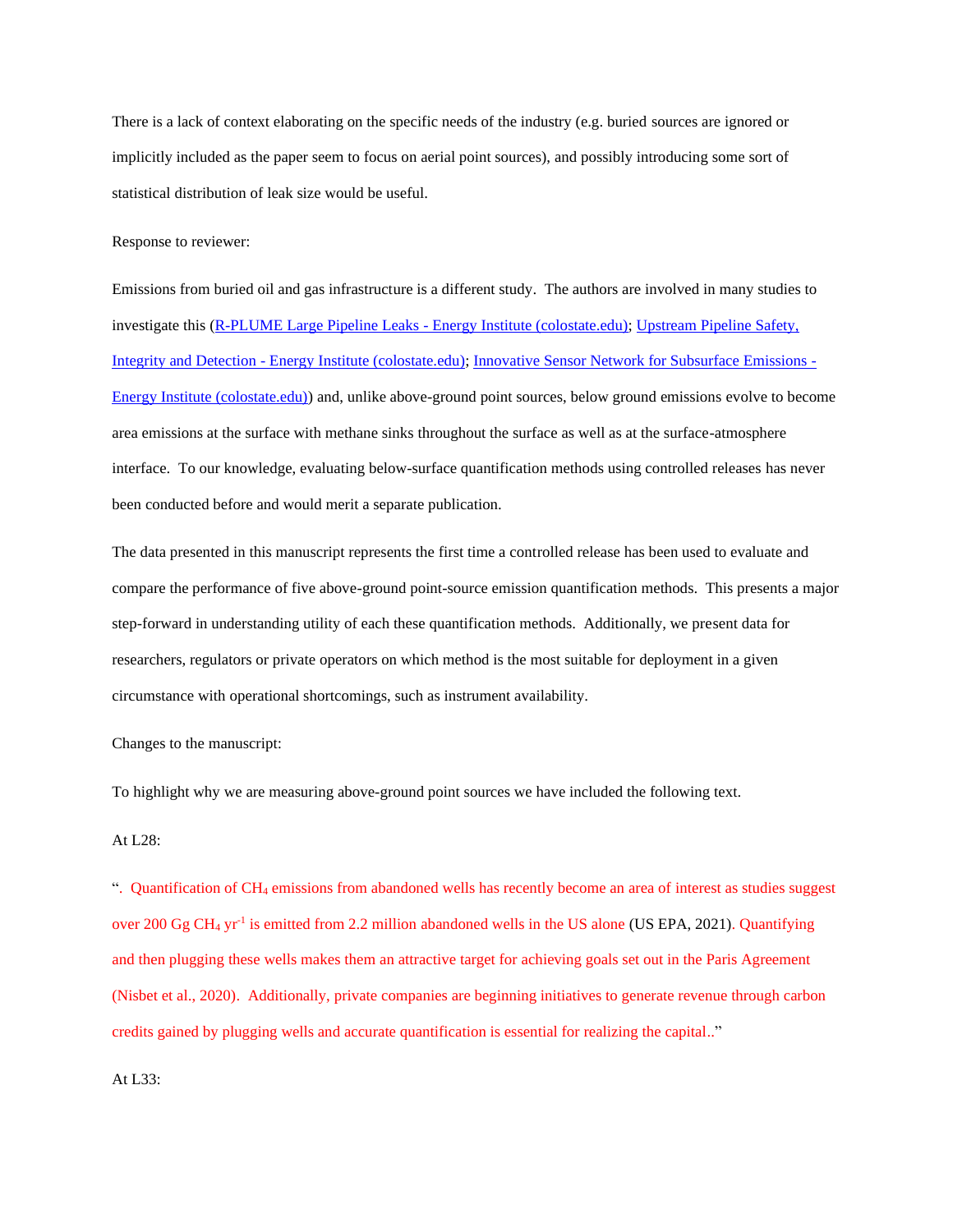There is a lack of context elaborating on the specific needs of the industry (e.g. buried sources are ignored or implicitly included as the paper seem to focus on aerial point sources), and possibly introducing some sort of statistical distribution of leak size would be useful.

Response to reviewer:

Emissions from buried oil and gas infrastructure is a different study. The authors are involved in many studies to investigate this [\(R-PLUME Large Pipeline Leaks -](https://energy.colostate.edu/metec/r-plume-large-pipeline-leaks/) Energy Institute (colostate.edu); [Upstream Pipeline Safety,](https://energy.colostate.edu/metec/upside/)  Integrity and Detection - [Energy Institute \(colostate.edu\);](https://energy.colostate.edu/metec/upside/) Innovative [Sensor Network for Subsurface Emissions -](https://energy.colostate.edu/metec/innovative-sensor-network-for-subsurface-emissions/) [Energy Institute \(colostate.edu\)\)](https://energy.colostate.edu/metec/innovative-sensor-network-for-subsurface-emissions/) and, unlike above-ground point sources, below ground emissions evolve to become area emissions at the surface with methane sinks throughout the surface as well as at the surface-atmosphere interface. To our knowledge, evaluating below-surface quantification methods using controlled releases has never been conducted before and would merit a separate publication.

The data presented in this manuscript represents the first time a controlled release has been used to evaluate and compare the performance of five above-ground point-source emission quantification methods. This presents a major step-forward in understanding utility of each these quantification methods. Additionally, we present data for researchers, regulators or private operators on which method is the most suitable for deployment in a given circumstance with operational shortcomings, such as instrument availability.

Changes to the manuscript:

To highlight why we are measuring above-ground point sources we have included the following text.

### At L28:

". Quantification of CH<sup>4</sup> emissions from abandoned wells has recently become an area of interest as studies suggest over 200 Gg CH<sub>4</sub> yr<sup>-1</sup> is emitted from 2.2 million abandoned wells in the US alone (US EPA, 2021). Quantifying and then plugging these wells makes them an attractive target for achieving goals set out in the Paris Agreement (Nisbet et al., 2020). Additionally, private companies are beginning initiatives to generate revenue through carbon credits gained by plugging wells and accurate quantification is essential for realizing the capital.."

At L33: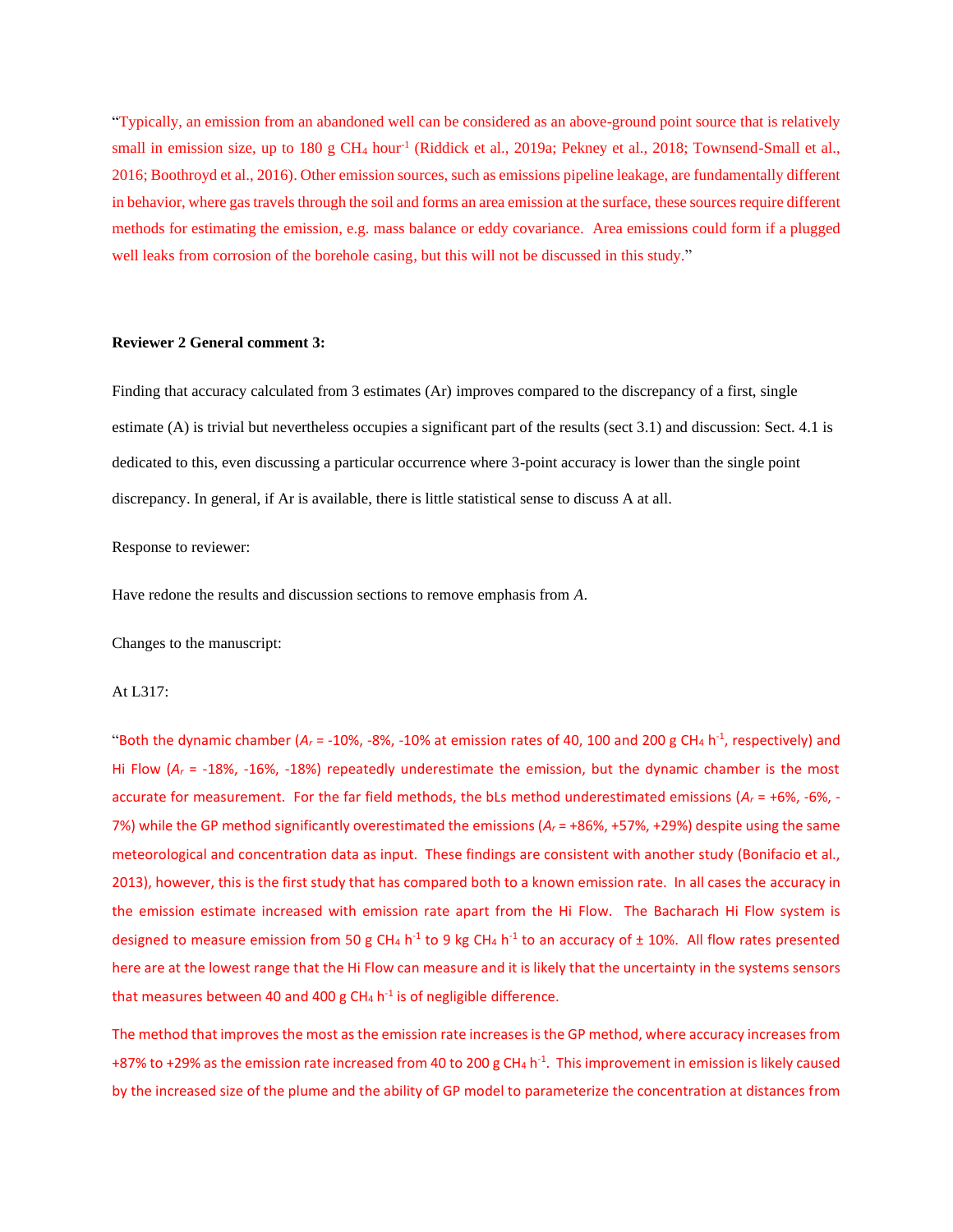"Typically, an emission from an abandoned well can be considered as an above-ground point source that is relatively small in emission size, up to 180 g CH<sub>4</sub> hour<sup>-1</sup> (Riddick et al., 2019a; Pekney et al., 2018; Townsend-Small et al., 2016; Boothroyd et al., 2016). Other emission sources, such as emissions pipeline leakage, are fundamentally different in behavior, where gas travels through the soil and forms an area emission at the surface, these sources require different methods for estimating the emission, e.g. mass balance or eddy covariance. Area emissions could form if a plugged well leaks from corrosion of the borehole casing, but this will not be discussed in this study."

## **Reviewer 2 General comment 3:**

Finding that accuracy calculated from 3 estimates (Ar) improves compared to the discrepancy of a first, single estimate (A) is trivial but nevertheless occupies a significant part of the results (sect 3.1) and discussion: Sect. 4.1 is dedicated to this, even discussing a particular occurrence where 3-point accuracy is lower than the single point discrepancy. In general, if Ar is available, there is little statistical sense to discuss A at all.

## Response to reviewer:

Have redone the results and discussion sections to remove emphasis from *A*.

Changes to the manuscript:

## At L317:

"Both the dynamic chamber ( $A_r$  = -10%, -8%, -10% at emission rates of 40, 100 and 200 g CH<sub>4</sub> h<sup>-1</sup>, respectively) and Hi Flow (*A<sup>r</sup>* = -18%, -16%, -18%) repeatedly underestimate the emission, but the dynamic chamber is the most accurate for measurement. For the far field methods, the bLs method underestimated emissions ( $A<sub>r</sub> = +6$ %, -6%, -7%) while the GP method significantly overestimated the emissions (*A<sup>r</sup>* = +86%, +57%, +29%) despite using the same meteorological and concentration data as input. These findings are consistent with another study (Bonifacio et al., 2013), however, this is the first study that has compared both to a known emission rate. In all cases the accuracy in the emission estimate increased with emission rate apart from the Hi Flow. The Bacharach Hi Flow system is designed to measure emission from 50 g CH<sub>4</sub> h<sup>-1</sup> to 9 kg CH<sub>4</sub> h<sup>-1</sup> to an accuracy of  $\pm$  10%. All flow rates presented here are at the lowest range that the Hi Flow can measure and it is likely that the uncertainty in the systems sensors that measures between 40 and 400 g CH<sub>4</sub> h<sup>-1</sup> is of negligible difference.

The method that improves the most as the emission rate increases is the GP method, where accuracy increases from +87% to +29% as the emission rate increased from 40 to 200 g CH<sub>4</sub> h<sup>-1</sup>. This improvement in emission is likely caused by the increased size of the plume and the ability of GP model to parameterize the concentration at distances from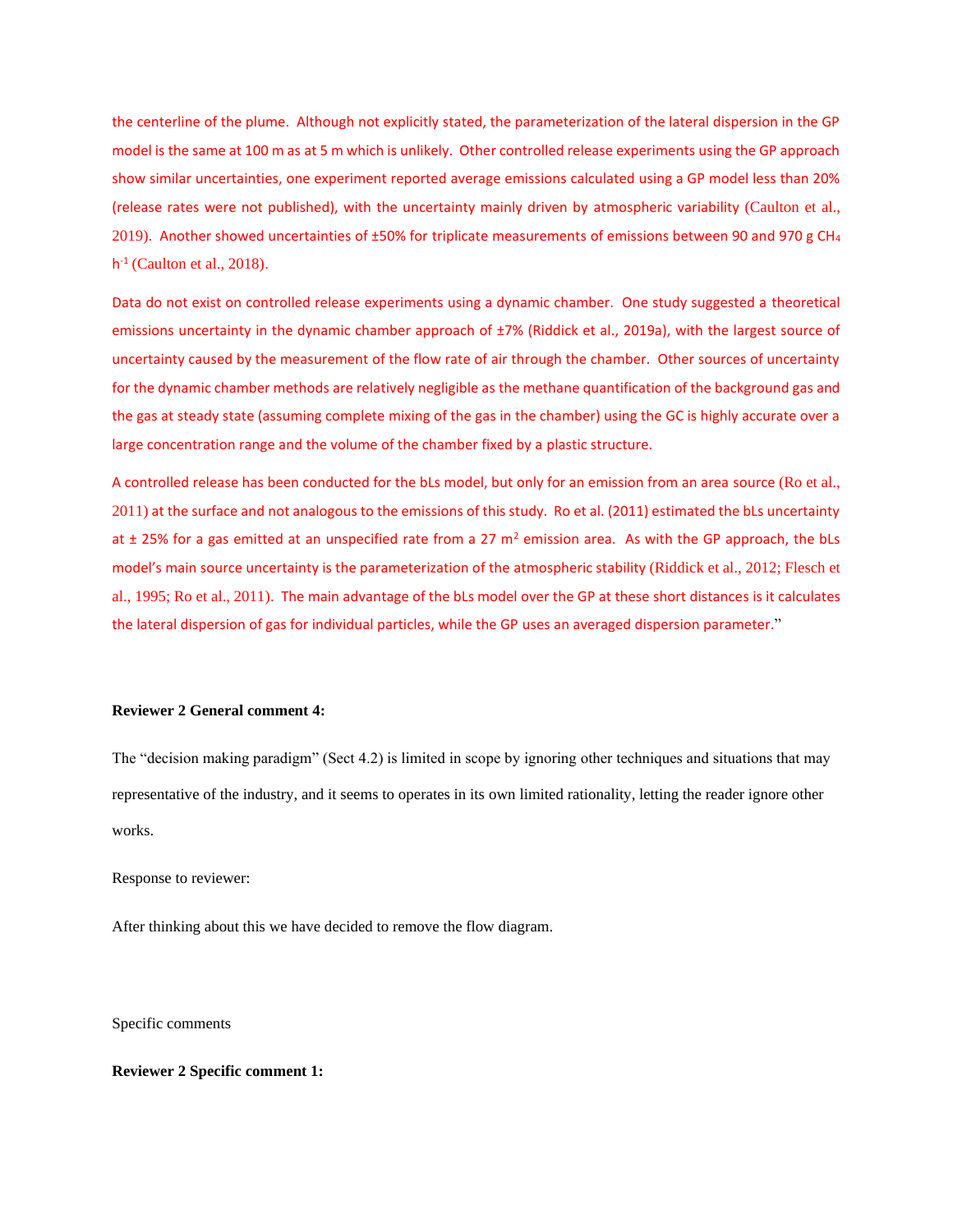the centerline of the plume. Although not explicitly stated, the parameterization of the lateral dispersion in the GP model is the same at 100 m as at 5 m which is unlikely. Other controlled release experiments using the GP approach show similar uncertainties, one experiment reported average emissions calculated using a GP model less than 20% (release rates were not published), with the uncertainty mainly driven by atmospheric variability (Caulton et al., 2019). Another showed uncertainties of ±50% for triplicate measurements of emissions between 90 and 970 g CH<sup>4</sup> h -1 (Caulton et al., 2018).

Data do not exist on controlled release experiments using a dynamic chamber. One study suggested a theoretical emissions uncertainty in the dynamic chamber approach of ±7% (Riddick et al., 2019a), with the largest source of uncertainty caused by the measurement of the flow rate of air through the chamber. Other sources of uncertainty for the dynamic chamber methods are relatively negligible as the methane quantification of the background gas and the gas at steady state (assuming complete mixing of the gas in the chamber) using the GC is highly accurate over a large concentration range and the volume of the chamber fixed by a plastic structure.

A controlled release has been conducted for the bLs model, but only for an emission from an area source (Ro et al., 2011) at the surface and not analogous to the emissions of this study. Ro et al. (2011) estimated the bLs uncertainty at  $\pm$  25% for a gas emitted at an unspecified rate from a 27 m<sup>2</sup> emission area. As with the GP approach, the bLs model's main source uncertainty is the parameterization of the atmospheric stability (Riddick et al., 2012; Flesch et al., 1995; Ro et al., 2011). The main advantage of the bLs model over the GP at these short distances is it calculates the lateral dispersion of gas for individual particles, while the GP uses an averaged dispersion parameter."

### **Reviewer 2 General comment 4:**

The "decision making paradigm" (Sect 4.2) is limited in scope by ignoring other techniques and situations that may representative of the industry, and it seems to operates in its own limited rationality, letting the reader ignore other works.

Response to reviewer:

After thinking about this we have decided to remove the flow diagram.

Specific comments

**Reviewer 2 Specific comment 1:**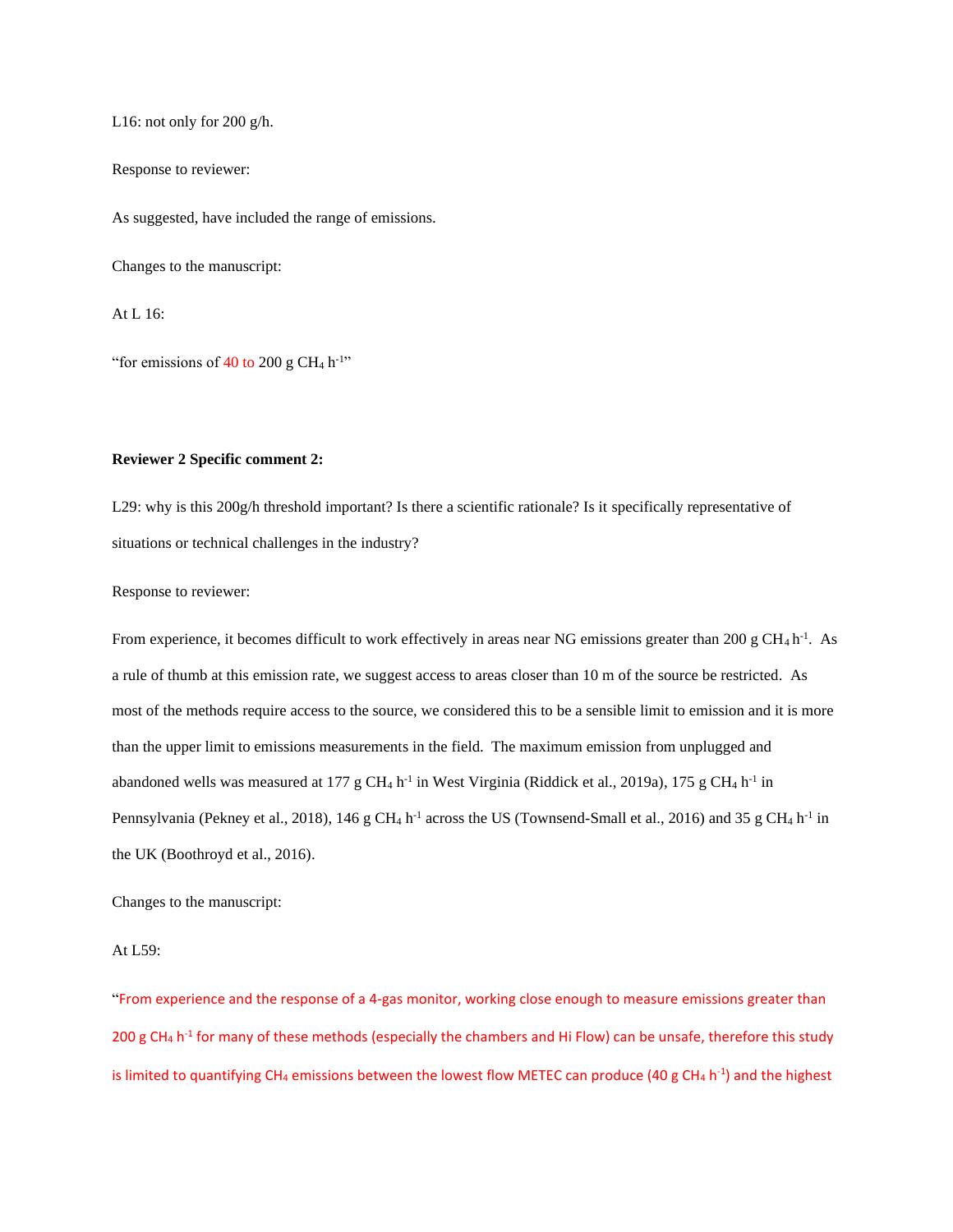L16: not only for 200 g/h.

Response to reviewer:

As suggested, have included the range of emissions.

Changes to the manuscript:

At L 16:

"for emissions of  $40$  to  $200$  g CH<sub>4</sub> h<sup>-1</sup>"

### **Reviewer 2 Specific comment 2:**

L29: why is this 200g/h threshold important? Is there a scientific rationale? Is it specifically representative of situations or technical challenges in the industry?

Response to reviewer:

From experience, it becomes difficult to work effectively in areas near NG emissions greater than 200 g CH<sub>4</sub> h<sup>-1</sup>. As a rule of thumb at this emission rate, we suggest access to areas closer than 10 m of the source be restricted. As most of the methods require access to the source, we considered this to be a sensible limit to emission and it is more than the upper limit to emissions measurements in the field. The maximum emission from unplugged and abandoned wells was measured at 177 g CH<sub>4</sub> h<sup>-1</sup> in West Virginia (Riddick et al., 2019a), 175 g CH<sub>4</sub> h<sup>-1</sup> in Pennsylvania (Pekney et al., 2018), 146 g CH<sub>4</sub> h<sup>-1</sup> across the US (Townsend-Small et al., 2016) and 35 g CH<sub>4</sub> h<sup>-1</sup> in the UK (Boothroyd et al., 2016).

Changes to the manuscript:

# At L59:

"From experience and the response of a 4-gas monitor, working close enough to measure emissions greater than 200 g CH<sub>4</sub> h<sup>-1</sup> for many of these methods (especially the chambers and Hi Flow) can be unsafe, therefore this study is limited to quantifying CH<sub>4</sub> emissions between the lowest flow METEC can produce (40 g CH<sub>4</sub> h<sup>-1</sup>) and the highest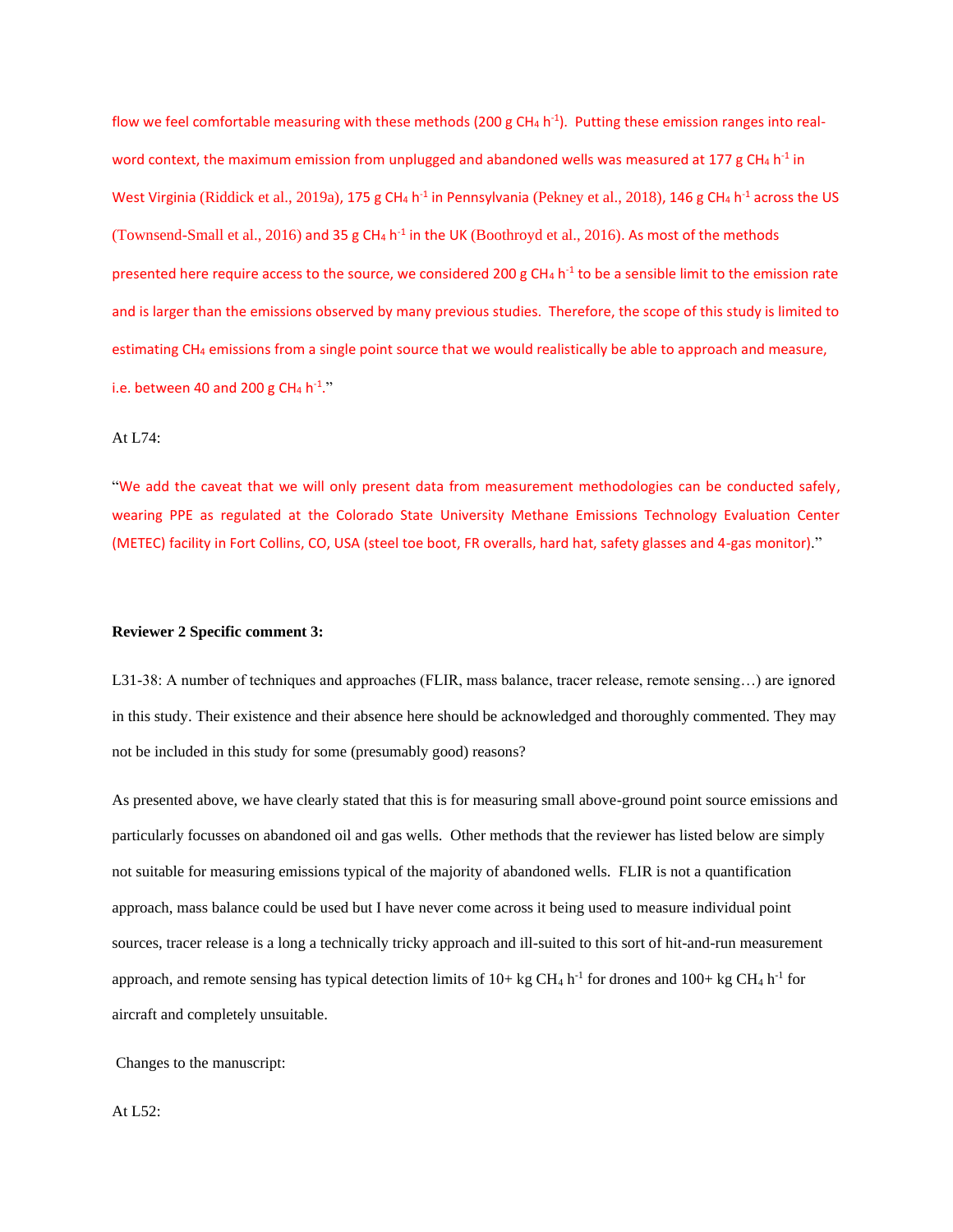flow we feel comfortable measuring with these methods (200 g CH<sub>4</sub> h<sup>-1</sup>). Putting these emission ranges into realword context, the maximum emission from unplugged and abandoned wells was measured at 177 g CH<sub>4</sub> h<sup>-1</sup> in West Virginia (Riddick et al., 2019a), 175 g CH<sub>4</sub> h<sup>-1</sup> in Pennsylvania (Pekney et al., 2018), 146 g CH<sub>4</sub> h<sup>-1</sup> across the US (Townsend-Small et al., 2016) and 35 g CH<sub>4</sub> h<sup>-1</sup> in the UK (Boothroyd et al., 2016). As most of the methods presented here require access to the source, we considered 200 g CH<sub>4</sub> h<sup>-1</sup> to be a sensible limit to the emission rate and is larger than the emissions observed by many previous studies. Therefore, the scope of this study is limited to estimating CH<sup>4</sup> emissions from a single point source that we would realistically be able to approach and measure, i.e. between 40 and 200 g CH<sub>4</sub> h<sup>-1</sup>."

# At L74:

"We add the caveat that we will only present data from measurement methodologies can be conducted safely, wearing PPE as regulated at the Colorado State University Methane Emissions Technology Evaluation Center (METEC) facility in Fort Collins, CO, USA (steel toe boot, FR overalls, hard hat, safety glasses and 4-gas monitor)."

### **Reviewer 2 Specific comment 3:**

L31-38: A number of techniques and approaches (FLIR, mass balance, tracer release, remote sensing…) are ignored in this study. Their existence and their absence here should be acknowledged and thoroughly commented. They may not be included in this study for some (presumably good) reasons?

As presented above, we have clearly stated that this is for measuring small above-ground point source emissions and particularly focusses on abandoned oil and gas wells. Other methods that the reviewer has listed below are simply not suitable for measuring emissions typical of the majority of abandoned wells. FLIR is not a quantification approach, mass balance could be used but I have never come across it being used to measure individual point sources, tracer release is a long a technically tricky approach and ill-suited to this sort of hit-and-run measurement approach, and remote sensing has typical detection limits of  $10+kg CH_4 h^{-1}$  for drones and  $100+kg CH_4 h^{-1}$  for aircraft and completely unsuitable.

Changes to the manuscript:

### At L52: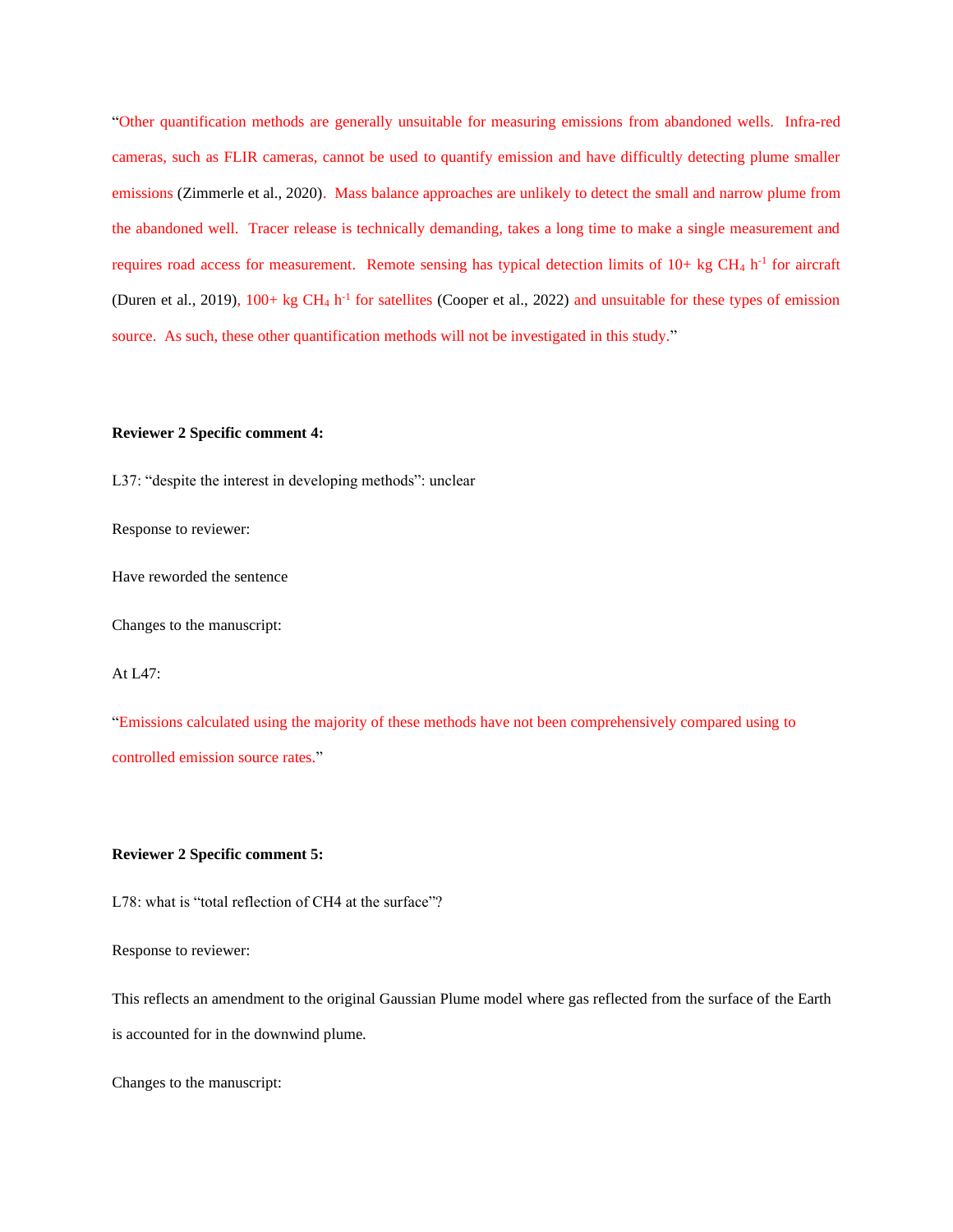"Other quantification methods are generally unsuitable for measuring emissions from abandoned wells. Infra-red cameras, such as FLIR cameras, cannot be used to quantify emission and have difficultly detecting plume smaller emissions (Zimmerle et al., 2020). Mass balance approaches are unlikely to detect the small and narrow plume from the abandoned well. Tracer release is technically demanding, takes a long time to make a single measurement and requires road access for measurement. Remote sensing has typical detection limits of  $10+ kg CH<sub>4</sub> h<sup>-1</sup>$  for aircraft (Duren et al., 2019),  $100+$  kg CH<sub>4</sub> h<sup>-1</sup> for satellites (Cooper et al., 2022) and unsuitable for these types of emission source. As such, these other quantification methods will not be investigated in this study."

## **Reviewer 2 Specific comment 4:**

L37: "despite the interest in developing methods": unclear

Response to reviewer:

Have reworded the sentence

Changes to the manuscript:

At L47:

"Emissions calculated using the majority of these methods have not been comprehensively compared using to controlled emission source rates."

# **Reviewer 2 Specific comment 5:**

L78: what is "total reflection of CH4 at the surface"?

Response to reviewer:

This reflects an amendment to the original Gaussian Plume model where gas reflected from the surface of the Earth is accounted for in the downwind plume.

Changes to the manuscript: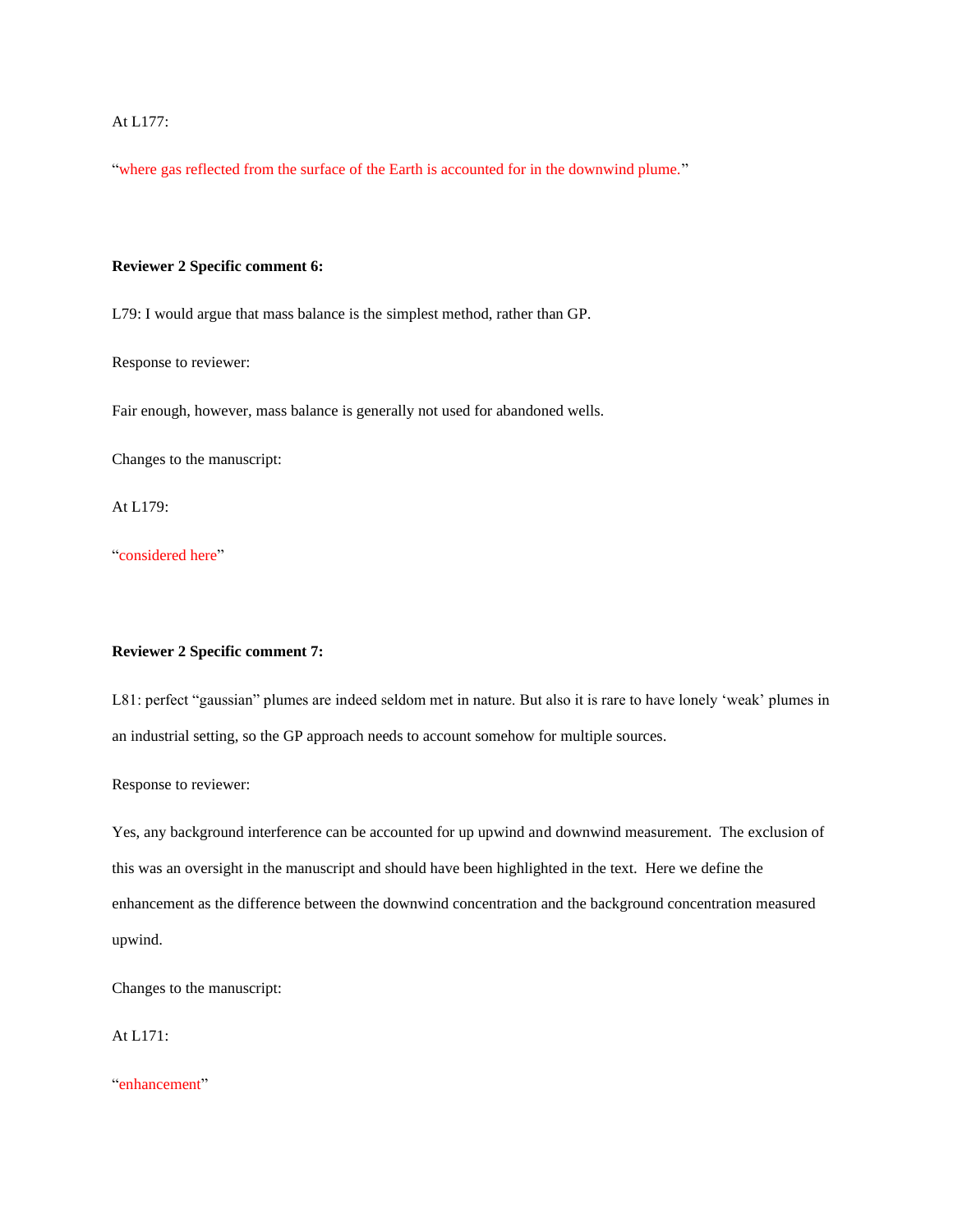# At L177:

"where gas reflected from the surface of the Earth is accounted for in the downwind plume."

## **Reviewer 2 Specific comment 6:**

L79: I would argue that mass balance is the simplest method, rather than GP.

Response to reviewer:

Fair enough, however, mass balance is generally not used for abandoned wells.

Changes to the manuscript:

At L179:

"considered here"

# **Reviewer 2 Specific comment 7:**

L81: perfect "gaussian" plumes are indeed seldom met in nature. But also it is rare to have lonely 'weak' plumes in an industrial setting, so the GP approach needs to account somehow for multiple sources.

Response to reviewer:

Yes, any background interference can be accounted for up upwind and downwind measurement. The exclusion of this was an oversight in the manuscript and should have been highlighted in the text. Here we define the enhancement as the difference between the downwind concentration and the background concentration measured upwind.

Changes to the manuscript:

At L171:

"enhancement"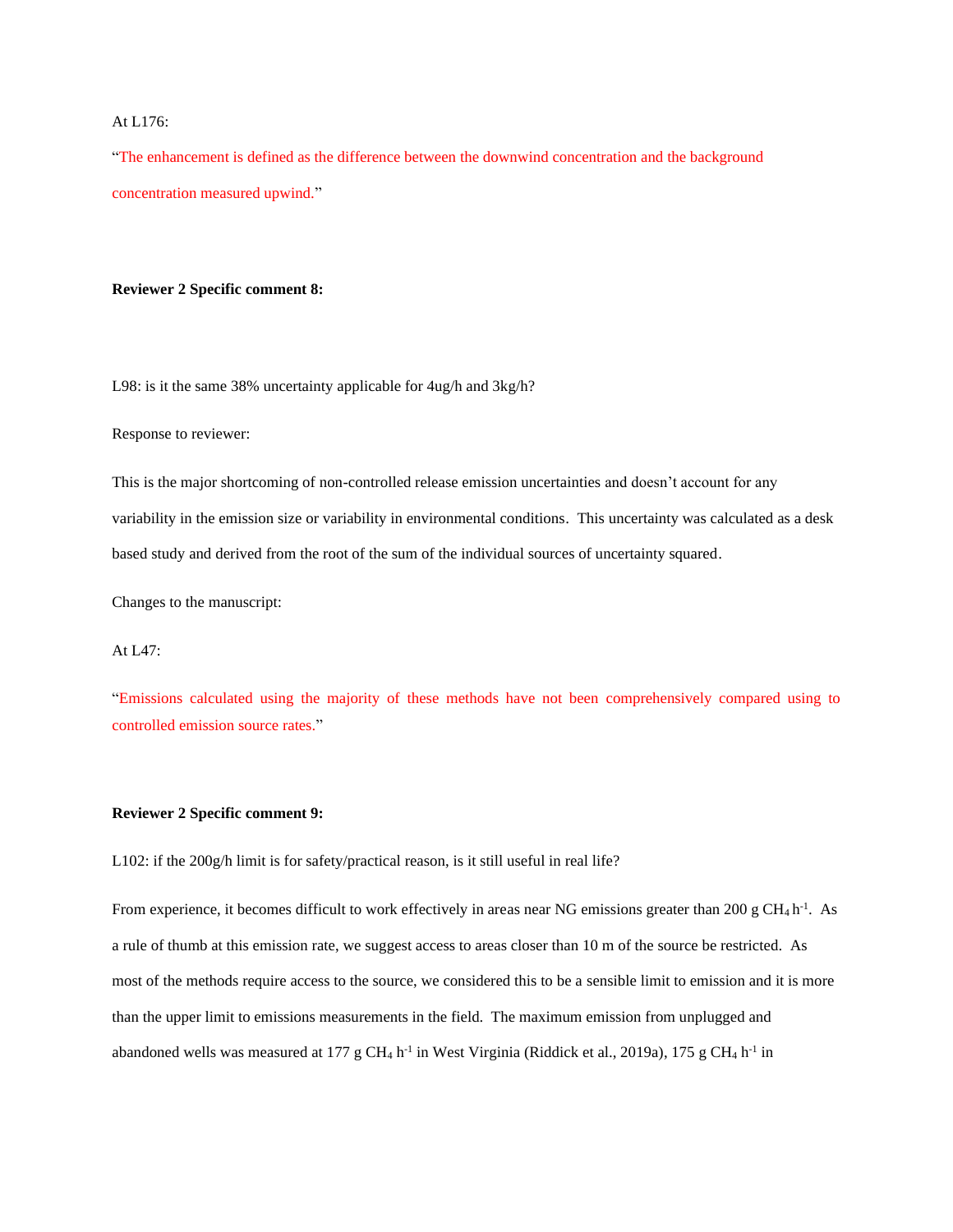### At L176:

"The enhancement is defined as the difference between the downwind concentration and the background concentration measured upwind."

## **Reviewer 2 Specific comment 8:**

L98: is it the same 38% uncertainty applicable for 4ug/h and 3kg/h?

Response to reviewer:

This is the major shortcoming of non-controlled release emission uncertainties and doesn't account for any variability in the emission size or variability in environmental conditions. This uncertainty was calculated as a desk based study and derived from the root of the sum of the individual sources of uncertainty squared.

Changes to the manuscript:

# At L47:

"Emissions calculated using the majority of these methods have not been comprehensively compared using to controlled emission source rates."

### **Reviewer 2 Specific comment 9:**

L102: if the 200g/h limit is for safety/practical reason, is it still useful in real life?

From experience, it becomes difficult to work effectively in areas near NG emissions greater than 200 g CH<sub>4</sub> h<sup>-1</sup>. As a rule of thumb at this emission rate, we suggest access to areas closer than 10 m of the source be restricted. As most of the methods require access to the source, we considered this to be a sensible limit to emission and it is more than the upper limit to emissions measurements in the field. The maximum emission from unplugged and abandoned wells was measured at 177 g CH<sub>4</sub> h<sup>-1</sup> in West Virginia (Riddick et al., 2019a), 175 g CH<sub>4</sub> h<sup>-1</sup> in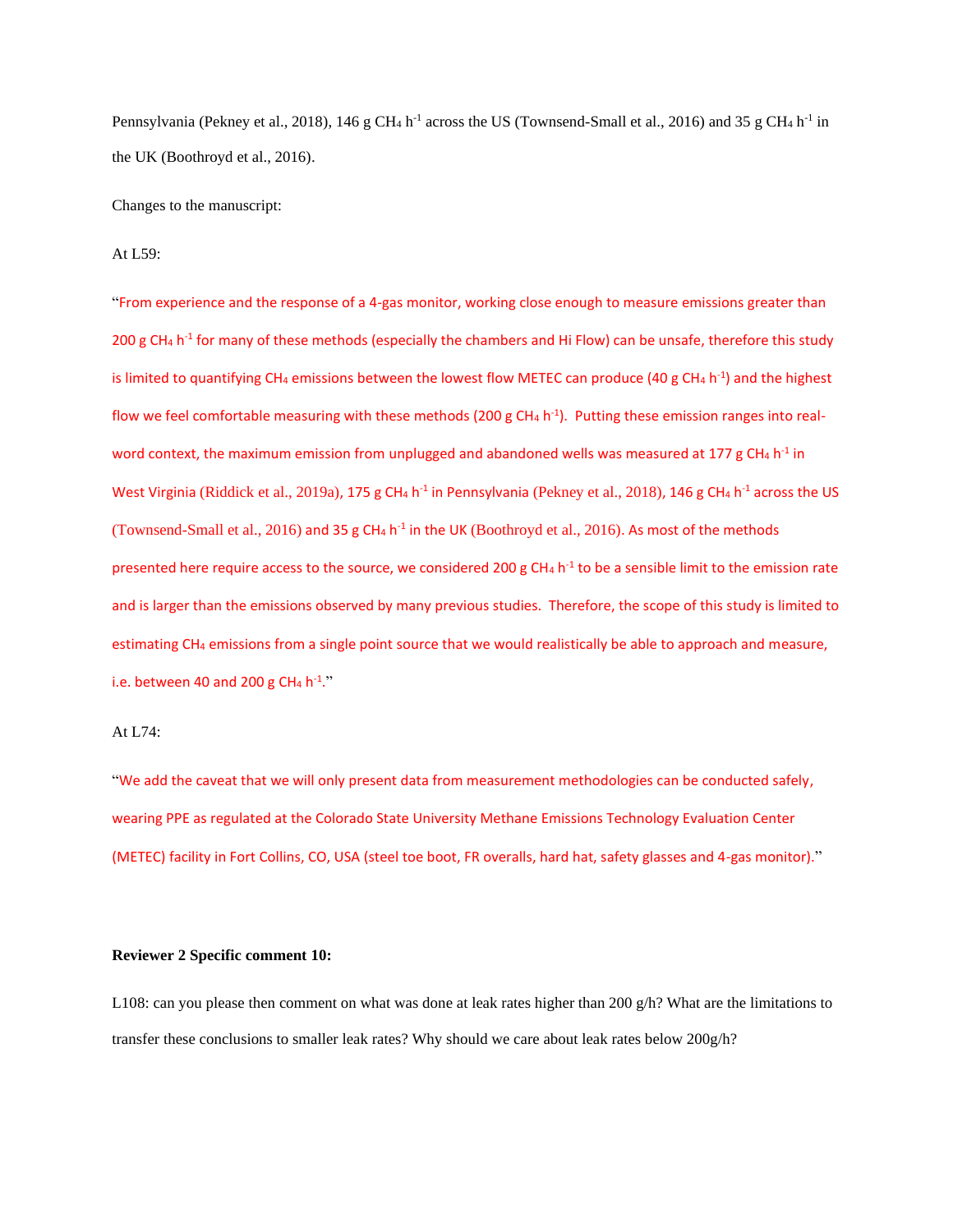Pennsylvania (Pekney et al., 2018), 146 g CH<sub>4</sub> h<sup>-1</sup> across the US (Townsend-Small et al., 2016) and 35 g CH<sub>4</sub> h<sup>-1</sup> in the UK (Boothroyd et al., 2016).

Changes to the manuscript:

At L59:

"From experience and the response of a 4-gas monitor, working close enough to measure emissions greater than 200 g CH<sub>4</sub> h<sup>-1</sup> for many of these methods (especially the chambers and Hi Flow) can be unsafe, therefore this study is limited to quantifying CH<sub>4</sub> emissions between the lowest flow METEC can produce (40 g CH<sub>4</sub> h<sup>-1</sup>) and the highest flow we feel comfortable measuring with these methods (200 g CH<sub>4</sub> h<sup>-1</sup>). Putting these emission ranges into realword context, the maximum emission from unplugged and abandoned wells was measured at 177 g CH<sub>4</sub> h<sup>-1</sup> in West Virginia (Riddick et al., 2019a), 175 g CH<sub>4</sub> h<sup>-1</sup> in Pennsylvania (Pekney et al., 2018), 146 g CH<sub>4</sub> h<sup>-1</sup> across the US (Townsend-Small et al., 2016) and 35 g  $CH_4$  h<sup>-1</sup> in the UK (Boothroyd et al., 2016). As most of the methods presented here require access to the source, we considered 200 g CH<sub>4</sub> h<sup>-1</sup> to be a sensible limit to the emission rate and is larger than the emissions observed by many previous studies. Therefore, the scope of this study is limited to estimating CH<sup>4</sup> emissions from a single point source that we would realistically be able to approach and measure, i.e. between 40 and 200 g CH<sub>4</sub> h<sup>-1</sup>."

## At L74:

"We add the caveat that we will only present data from measurement methodologies can be conducted safely, wearing PPE as regulated at the Colorado State University Methane Emissions Technology Evaluation Center (METEC) facility in Fort Collins, CO, USA (steel toe boot, FR overalls, hard hat, safety glasses and 4-gas monitor)."

### **Reviewer 2 Specific comment 10:**

L108: can you please then comment on what was done at leak rates higher than 200 g/h? What are the limitations to transfer these conclusions to smaller leak rates? Why should we care about leak rates below 200g/h?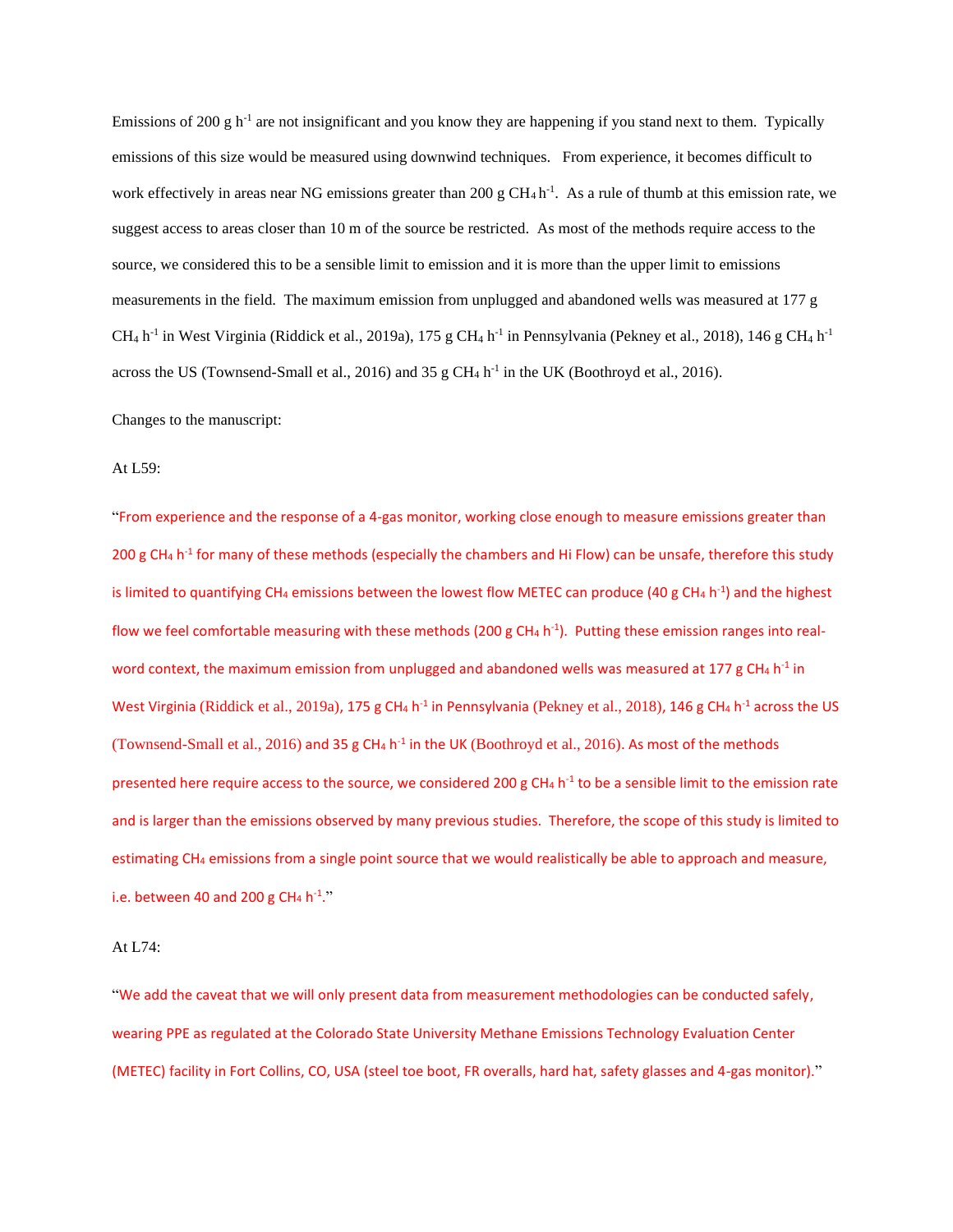Emissions of 200 g h<sup>-1</sup> are not insignificant and you know they are happening if you stand next to them. Typically emissions of this size would be measured using downwind techniques. From experience, it becomes difficult to work effectively in areas near NG emissions greater than 200 g  $CH_4 h^{-1}$ . As a rule of thumb at this emission rate, we suggest access to areas closer than 10 m of the source be restricted. As most of the methods require access to the source, we considered this to be a sensible limit to emission and it is more than the upper limit to emissions measurements in the field. The maximum emission from unplugged and abandoned wells was measured at 177 g  $CH_4$  h<sup>-1</sup> in West Virginia (Riddick et al., 2019a), 175 g CH<sub>4</sub> h<sup>-1</sup> in Pennsylvania (Pekney et al., 2018), 146 g CH<sub>4</sub> h<sup>-1</sup> across the US (Townsend-Small et al., 2016) and 35 g CH<sub>4</sub> h<sup>-1</sup> in the UK (Boothroyd et al., 2016).

Changes to the manuscript:

At L59:

"From experience and the response of a 4-gas monitor, working close enough to measure emissions greater than 200 g CH<sub>4</sub> h<sup>-1</sup> for many of these methods (especially the chambers and Hi Flow) can be unsafe, therefore this study is limited to quantifying CH<sub>4</sub> emissions between the lowest flow METEC can produce (40 g CH<sub>4</sub> h<sup>-1</sup>) and the highest flow we feel comfortable measuring with these methods (200 g CH<sub>4</sub> h<sup>-1</sup>). Putting these emission ranges into realword context, the maximum emission from unplugged and abandoned wells was measured at 177 g CH<sub>4</sub> h<sup>-1</sup> in West Virginia (Riddick et al., 2019a), 175 g CH<sub>4</sub> h<sup>-1</sup> in Pennsylvania (Pekney et al., 2018), 146 g CH<sub>4</sub> h<sup>-1</sup> across the US (Townsend-Small et al., 2016) and 35 g  $CH_4$  h<sup>-1</sup> in the UK (Boothroyd et al., 2016). As most of the methods presented here require access to the source, we considered 200 g CH<sub>4</sub> h<sup>-1</sup> to be a sensible limit to the emission rate and is larger than the emissions observed by many previous studies. Therefore, the scope of this study is limited to estimating CH<sup>4</sup> emissions from a single point source that we would realistically be able to approach and measure, i.e. between 40 and 200 g CH<sub>4</sub> h<sup>-1</sup>."

At L74:

"We add the caveat that we will only present data from measurement methodologies can be conducted safely, wearing PPE as regulated at the Colorado State University Methane Emissions Technology Evaluation Center (METEC) facility in Fort Collins, CO, USA (steel toe boot, FR overalls, hard hat, safety glasses and 4-gas monitor)."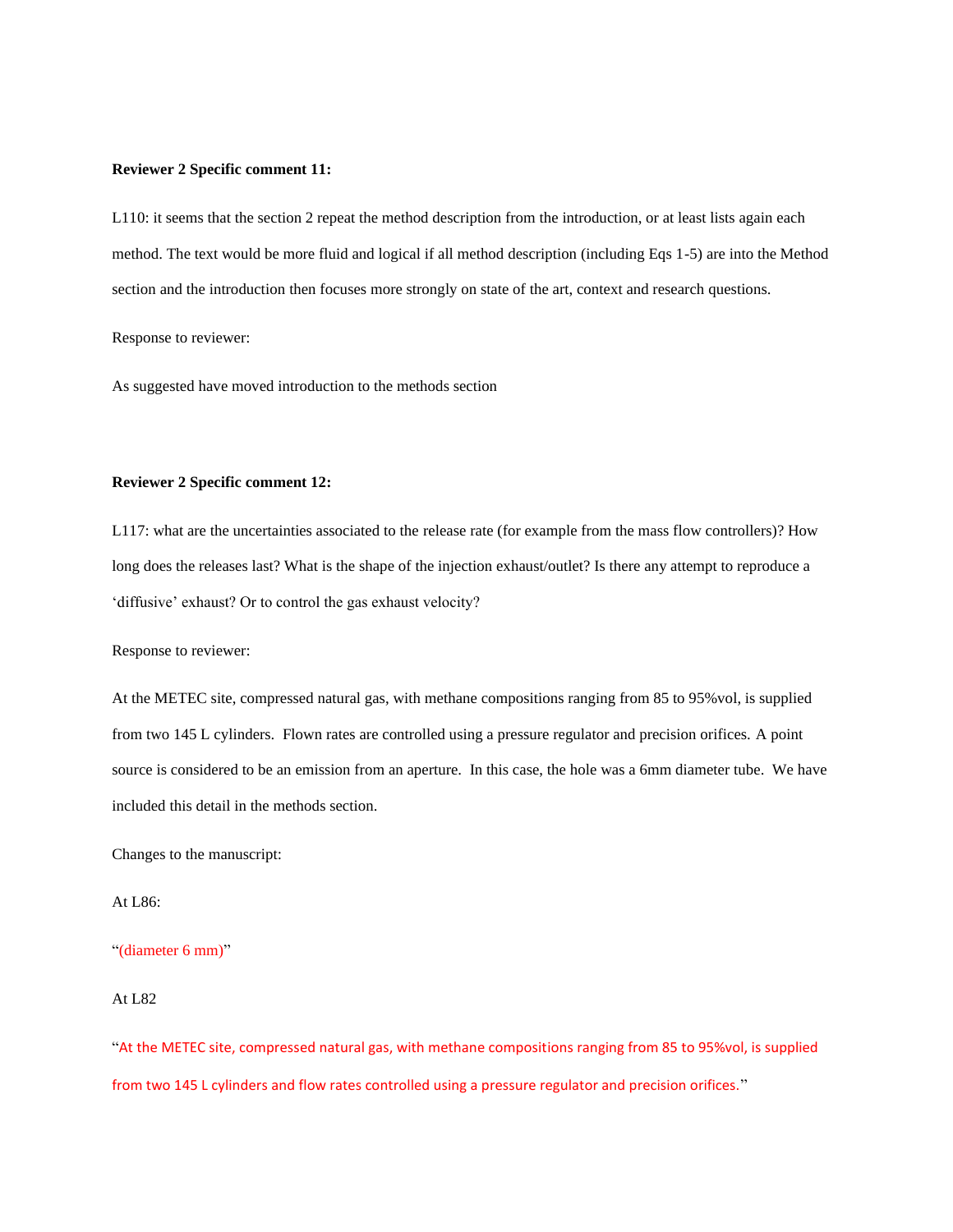### **Reviewer 2 Specific comment 11:**

L110: it seems that the section 2 repeat the method description from the introduction, or at least lists again each method. The text would be more fluid and logical if all method description (including Eqs 1-5) are into the Method section and the introduction then focuses more strongly on state of the art, context and research questions.

Response to reviewer:

As suggested have moved introduction to the methods section

#### **Reviewer 2 Specific comment 12:**

L117: what are the uncertainties associated to the release rate (for example from the mass flow controllers)? How long does the releases last? What is the shape of the injection exhaust/outlet? Is there any attempt to reproduce a 'diffusive' exhaust? Or to control the gas exhaust velocity?

Response to reviewer:

At the METEC site, compressed natural gas, with methane compositions ranging from 85 to 95%vol, is supplied from two 145 L cylinders. Flown rates are controlled using a pressure regulator and precision orifices. A point source is considered to be an emission from an aperture. In this case, the hole was a 6mm diameter tube. We have included this detail in the methods section.

Changes to the manuscript:

### At L86:

"(diameter 6 mm)"

## At L82

"At the METEC site, compressed natural gas, with methane compositions ranging from 85 to 95%vol, is supplied from two 145 L cylinders and flow rates controlled using a pressure regulator and precision orifices."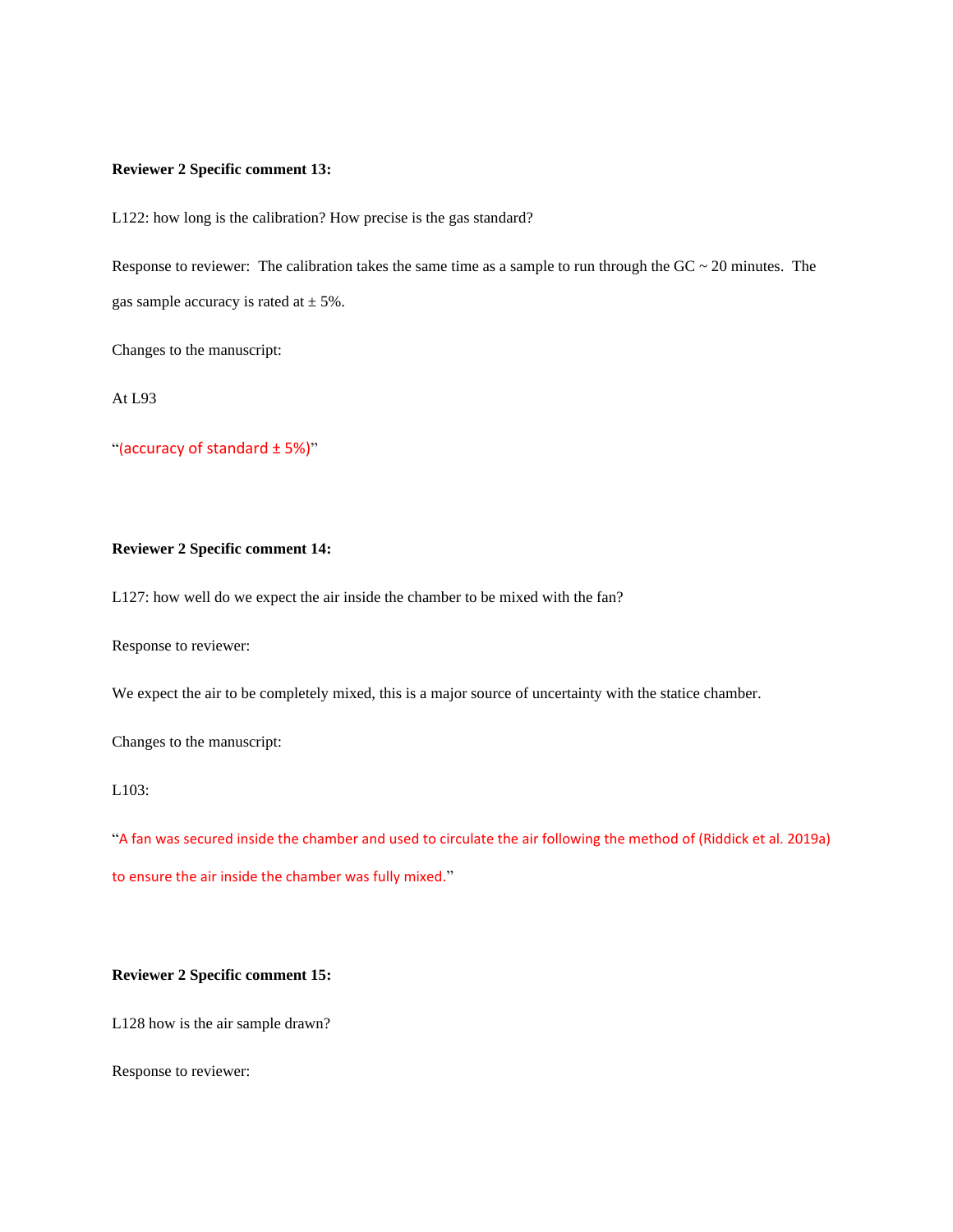### **Reviewer 2 Specific comment 13:**

L122: how long is the calibration? How precise is the gas standard?

Response to reviewer: The calibration takes the same time as a sample to run through the  $GC \sim 20$  minutes. The gas sample accuracy is rated at  $\pm$  5%.

Changes to the manuscript:

At L93

"(accuracy of standard ± 5%)"

# **Reviewer 2 Specific comment 14:**

L127: how well do we expect the air inside the chamber to be mixed with the fan?

Response to reviewer:

We expect the air to be completely mixed, this is a major source of uncertainty with the statice chamber.

Changes to the manuscript:

L103:

"A fan was secured inside the chamber and used to circulate the air following the method of (Riddick et al. 2019a) to ensure the air inside the chamber was fully mixed."

# **Reviewer 2 Specific comment 15:**

L128 how is the air sample drawn?

Response to reviewer: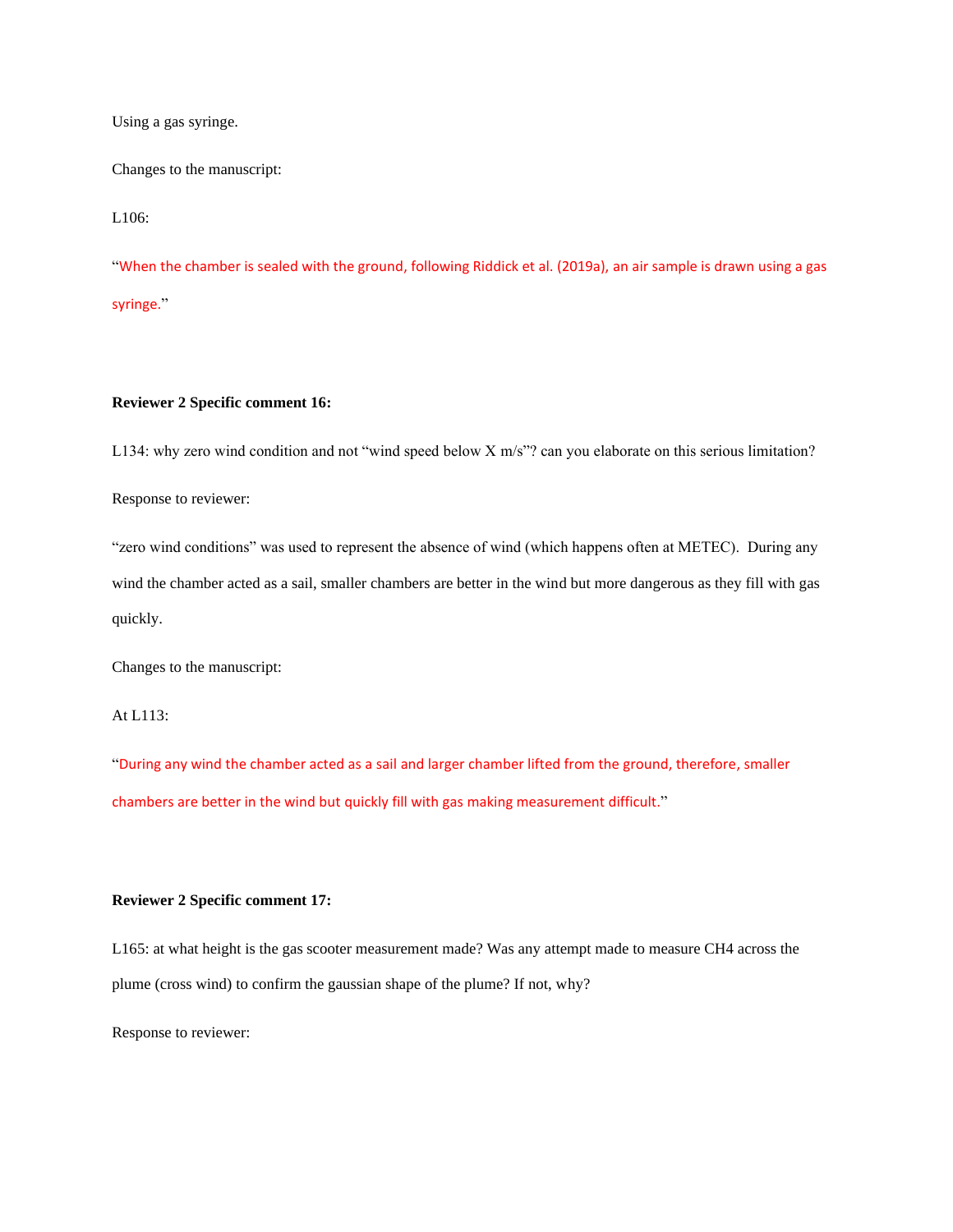Using a gas syringe.

Changes to the manuscript:

L106:

"When the chamber is sealed with the ground, following Riddick et al. (2019a), an air sample is drawn using a gas syringe."

# **Reviewer 2 Specific comment 16:**

L134: why zero wind condition and not "wind speed below X m/s"? can you elaborate on this serious limitation?

Response to reviewer:

"zero wind conditions" was used to represent the absence of wind (which happens often at METEC). During any wind the chamber acted as a sail, smaller chambers are better in the wind but more dangerous as they fill with gas quickly.

Changes to the manuscript:

At L113:

"During any wind the chamber acted as a sail and larger chamber lifted from the ground, therefore, smaller chambers are better in the wind but quickly fill with gas making measurement difficult."

## **Reviewer 2 Specific comment 17:**

L165: at what height is the gas scooter measurement made? Was any attempt made to measure CH4 across the plume (cross wind) to confirm the gaussian shape of the plume? If not, why?

Response to reviewer: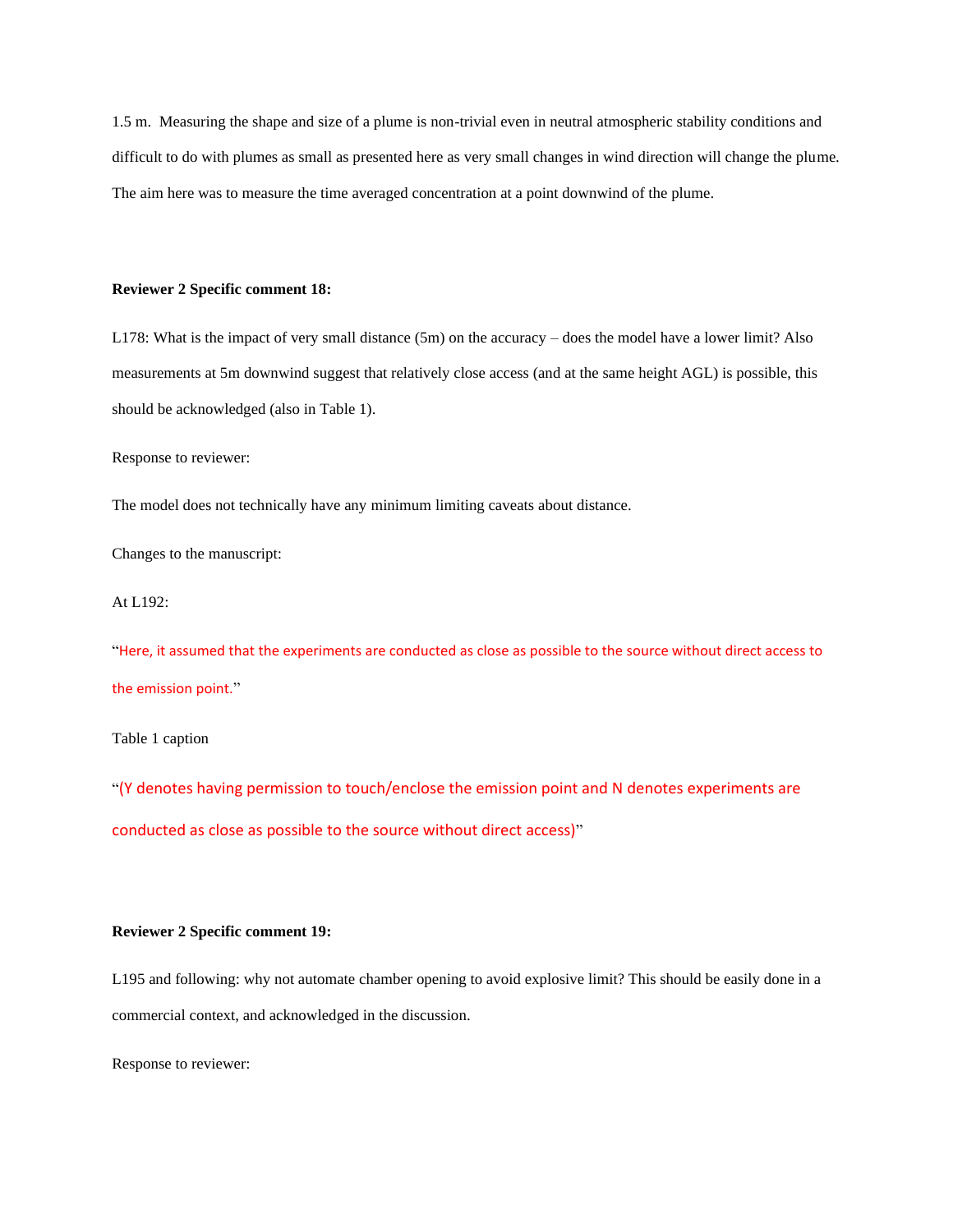1.5 m. Measuring the shape and size of a plume is non-trivial even in neutral atmospheric stability conditions and difficult to do with plumes as small as presented here as very small changes in wind direction will change the plume. The aim here was to measure the time averaged concentration at a point downwind of the plume.

### **Reviewer 2 Specific comment 18:**

L178: What is the impact of very small distance (5m) on the accuracy – does the model have a lower limit? Also measurements at 5m downwind suggest that relatively close access (and at the same height AGL) is possible, this should be acknowledged (also in Table 1).

Response to reviewer:

The model does not technically have any minimum limiting caveats about distance.

Changes to the manuscript:

At L192:

"Here, it assumed that the experiments are conducted as close as possible to the source without direct access to the emission point."

Table 1 caption

"(Y denotes having permission to touch/enclose the emission point and N denotes experiments are conducted as close as possible to the source without direct access)"

## **Reviewer 2 Specific comment 19:**

L195 and following: why not automate chamber opening to avoid explosive limit? This should be easily done in a commercial context, and acknowledged in the discussion.

Response to reviewer: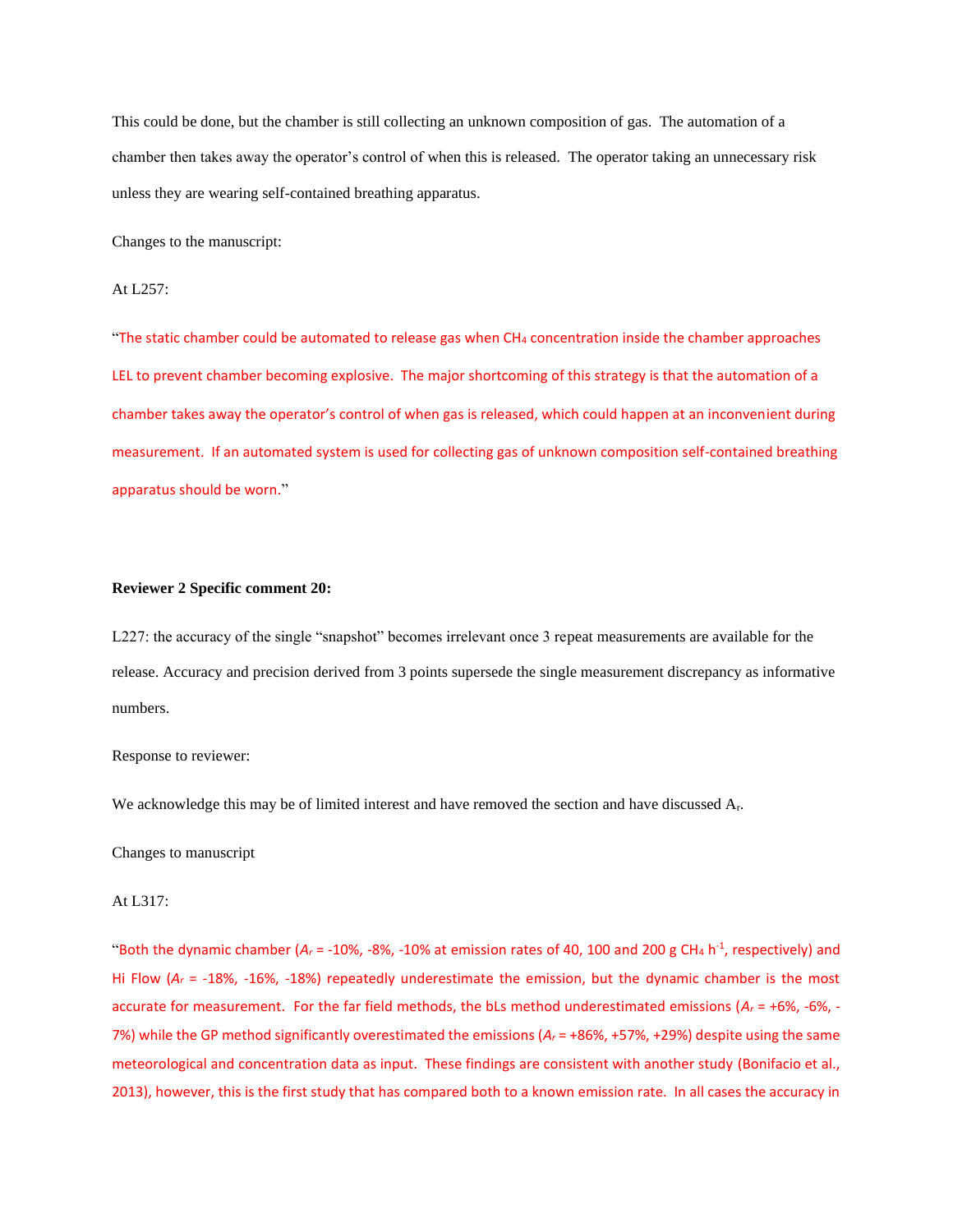This could be done, but the chamber is still collecting an unknown composition of gas. The automation of a chamber then takes away the operator's control of when this is released. The operator taking an unnecessary risk unless they are wearing self-contained breathing apparatus.

Changes to the manuscript:

## At L257:

"The static chamber could be automated to release gas when CH<sub>4</sub> concentration inside the chamber approaches LEL to prevent chamber becoming explosive. The major shortcoming of this strategy is that the automation of a chamber takes away the operator's control of when gas is released, which could happen at an inconvenient during measurement. If an automated system is used for collecting gas of unknown composition self-contained breathing apparatus should be worn."

## **Reviewer 2 Specific comment 20:**

L227: the accuracy of the single "snapshot" becomes irrelevant once 3 repeat measurements are available for the release. Accuracy and precision derived from 3 points supersede the single measurement discrepancy as informative numbers.

### Response to reviewer:

We acknowledge this may be of limited interest and have removed the section and have discussed A<sub>r</sub>.

Changes to manuscript

## At L317:

"Both the dynamic chamber ( $A_r$  = -10%, -8%, -10% at emission rates of 40, 100 and 200 g CH<sub>4</sub> h<sup>-1</sup>, respectively) and Hi Flow (*A<sup>r</sup>* = -18%, -16%, -18%) repeatedly underestimate the emission, but the dynamic chamber is the most accurate for measurement. For the far field methods, the bLs method underestimated emissions (*A<sup>r</sup>* = +6%, -6%, - 7%) while the GP method significantly overestimated the emissions ( $A<sub>r</sub>$  = +86%, +57%, +29%) despite using the same meteorological and concentration data as input. These findings are consistent with another study (Bonifacio et al., 2013), however, this is the first study that has compared both to a known emission rate. In all cases the accuracy in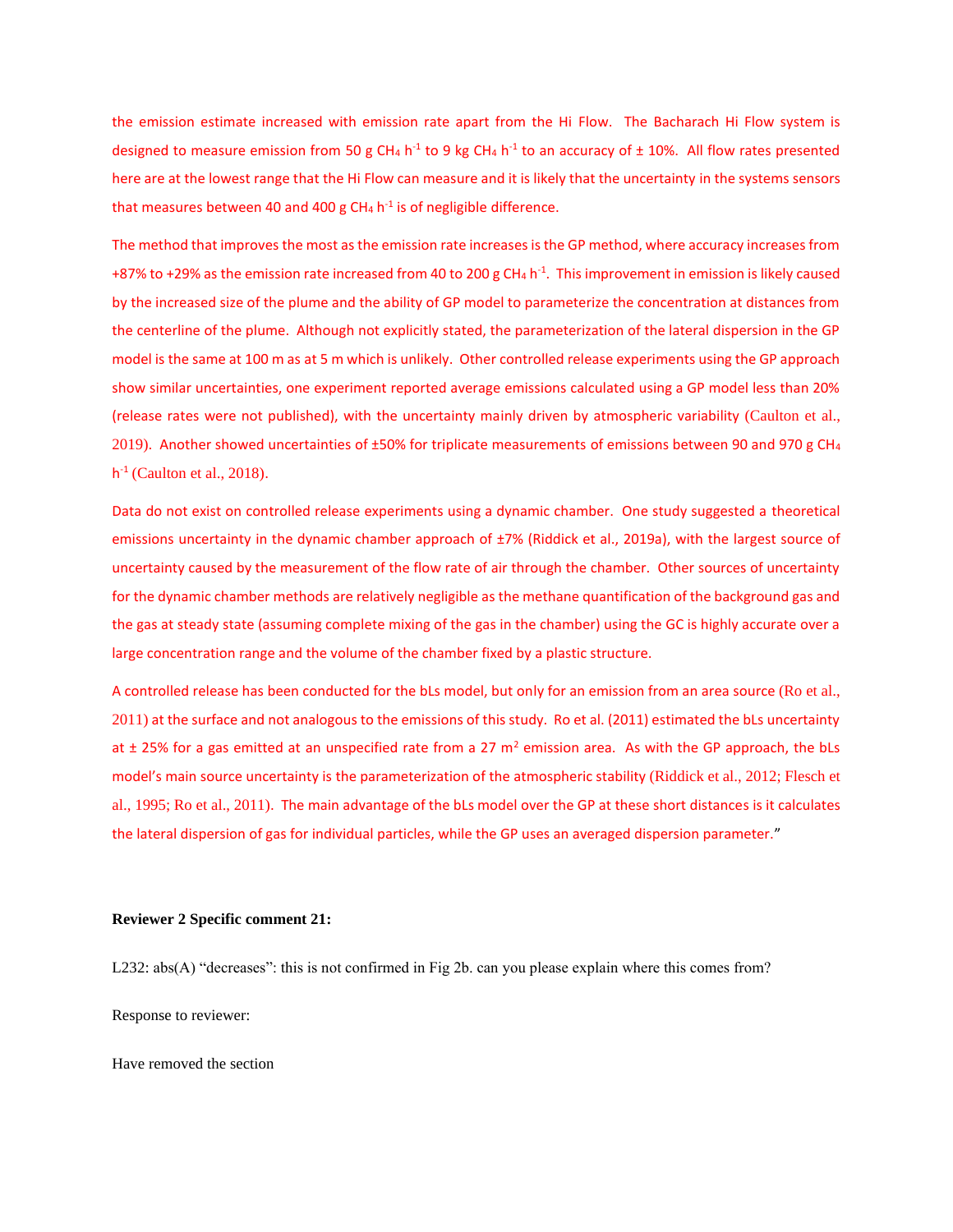the emission estimate increased with emission rate apart from the Hi Flow. The Bacharach Hi Flow system is designed to measure emission from 50 g CH<sub>4</sub> h<sup>-1</sup> to 9 kg CH<sub>4</sub> h<sup>-1</sup> to an accuracy of  $\pm$  10%. All flow rates presented here are at the lowest range that the Hi Flow can measure and it is likely that the uncertainty in the systems sensors that measures between 40 and 400 g CH<sub>4</sub> h<sup>-1</sup> is of negligible difference.

The method that improves the most as the emission rate increases is the GP method, where accuracy increases from +87% to +29% as the emission rate increased from 40 to 200 g CH<sub>4</sub> h<sup>-1</sup>. This improvement in emission is likely caused by the increased size of the plume and the ability of GP model to parameterize the concentration at distances from the centerline of the plume. Although not explicitly stated, the parameterization of the lateral dispersion in the GP model is the same at 100 m as at 5 m which is unlikely. Other controlled release experiments using the GP approach show similar uncertainties, one experiment reported average emissions calculated using a GP model less than 20% (release rates were not published), with the uncertainty mainly driven by atmospheric variability (Caulton et al., 2019). Another showed uncertainties of ±50% for triplicate measurements of emissions between 90 and 970 g CH<sup>4</sup> h -1 (Caulton et al., 2018).

Data do not exist on controlled release experiments using a dynamic chamber. One study suggested a theoretical emissions uncertainty in the dynamic chamber approach of ±7% (Riddick et al., 2019a), with the largest source of uncertainty caused by the measurement of the flow rate of air through the chamber. Other sources of uncertainty for the dynamic chamber methods are relatively negligible as the methane quantification of the background gas and the gas at steady state (assuming complete mixing of the gas in the chamber) using the GC is highly accurate over a large concentration range and the volume of the chamber fixed by a plastic structure.

A controlled release has been conducted for the bLs model, but only for an emission from an area source (Ro et al., 2011) at the surface and not analogous to the emissions of this study. Ro et al. (2011) estimated the bLs uncertainty at  $\pm$  25% for a gas emitted at an unspecified rate from a 27 m<sup>2</sup> emission area. As with the GP approach, the bLs model's main source uncertainty is the parameterization of the atmospheric stability (Riddick et al., 2012; Flesch et al., 1995; Ro et al., 2011). The main advantage of the bLs model over the GP at these short distances is it calculates the lateral dispersion of gas for individual particles, while the GP uses an averaged dispersion parameter."

### **Reviewer 2 Specific comment 21:**

L232: abs(A) "decreases": this is not confirmed in Fig 2b. can you please explain where this comes from?

Response to reviewer:

Have removed the section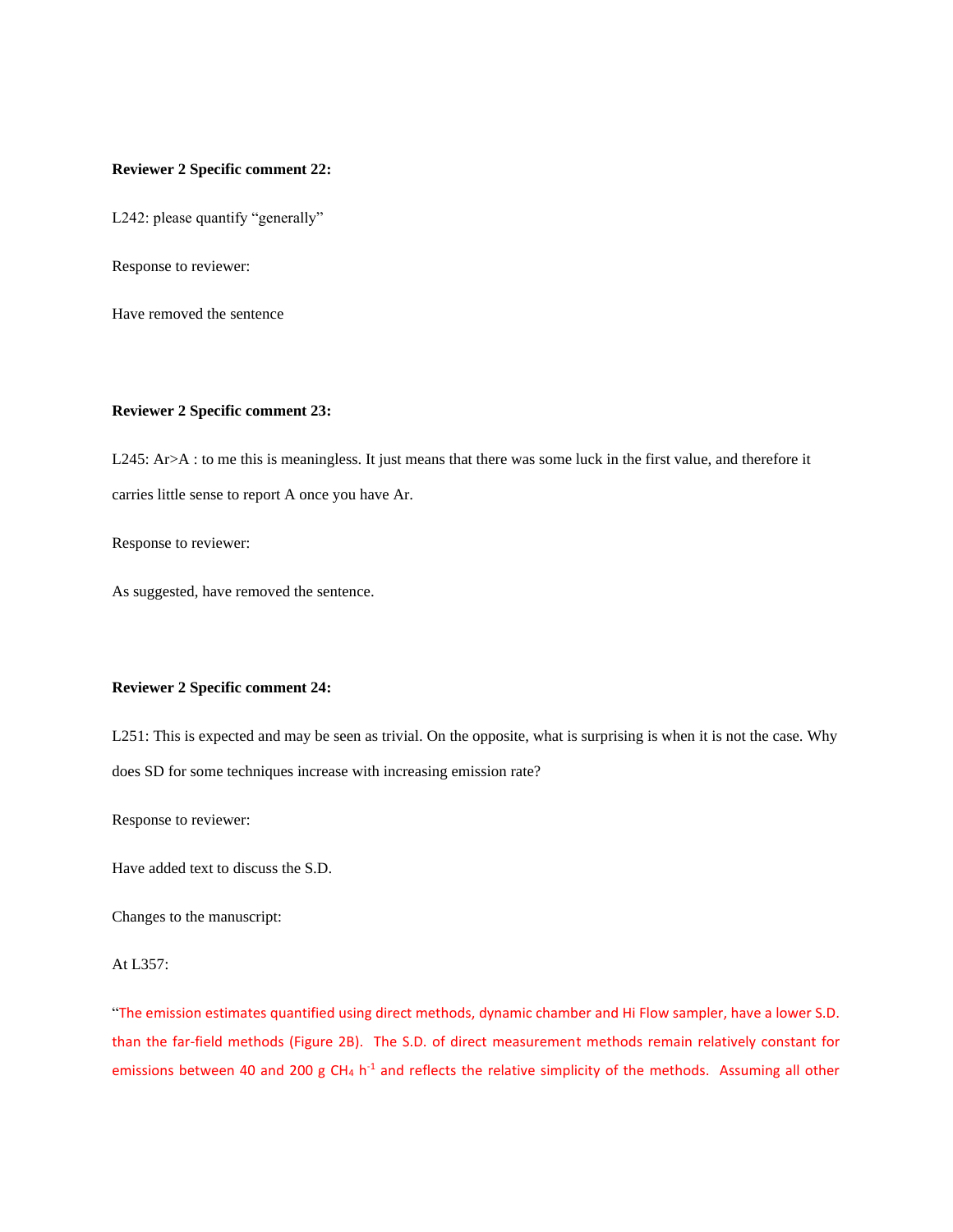### **Reviewer 2 Specific comment 22:**

L242: please quantify "generally"

Response to reviewer:

Have removed the sentence

### **Reviewer 2 Specific comment 23:**

L245: Ar>A : to me this is meaningless. It just means that there was some luck in the first value, and therefore it carries little sense to report A once you have Ar.

Response to reviewer:

As suggested, have removed the sentence.

## **Reviewer 2 Specific comment 24:**

L251: This is expected and may be seen as trivial. On the opposite, what is surprising is when it is not the case. Why does SD for some techniques increase with increasing emission rate?

Response to reviewer:

Have added text to discuss the S.D.

Changes to the manuscript:

## At L357:

"The emission estimates quantified using direct methods, dynamic chamber and Hi Flow sampler, have a lower S.D. than the far-field methods (Figure 2B). The S.D. of direct measurement methods remain relatively constant for emissions between 40 and 200 g CH<sub>4</sub> h<sup>-1</sup> and reflects the relative simplicity of the methods. Assuming all other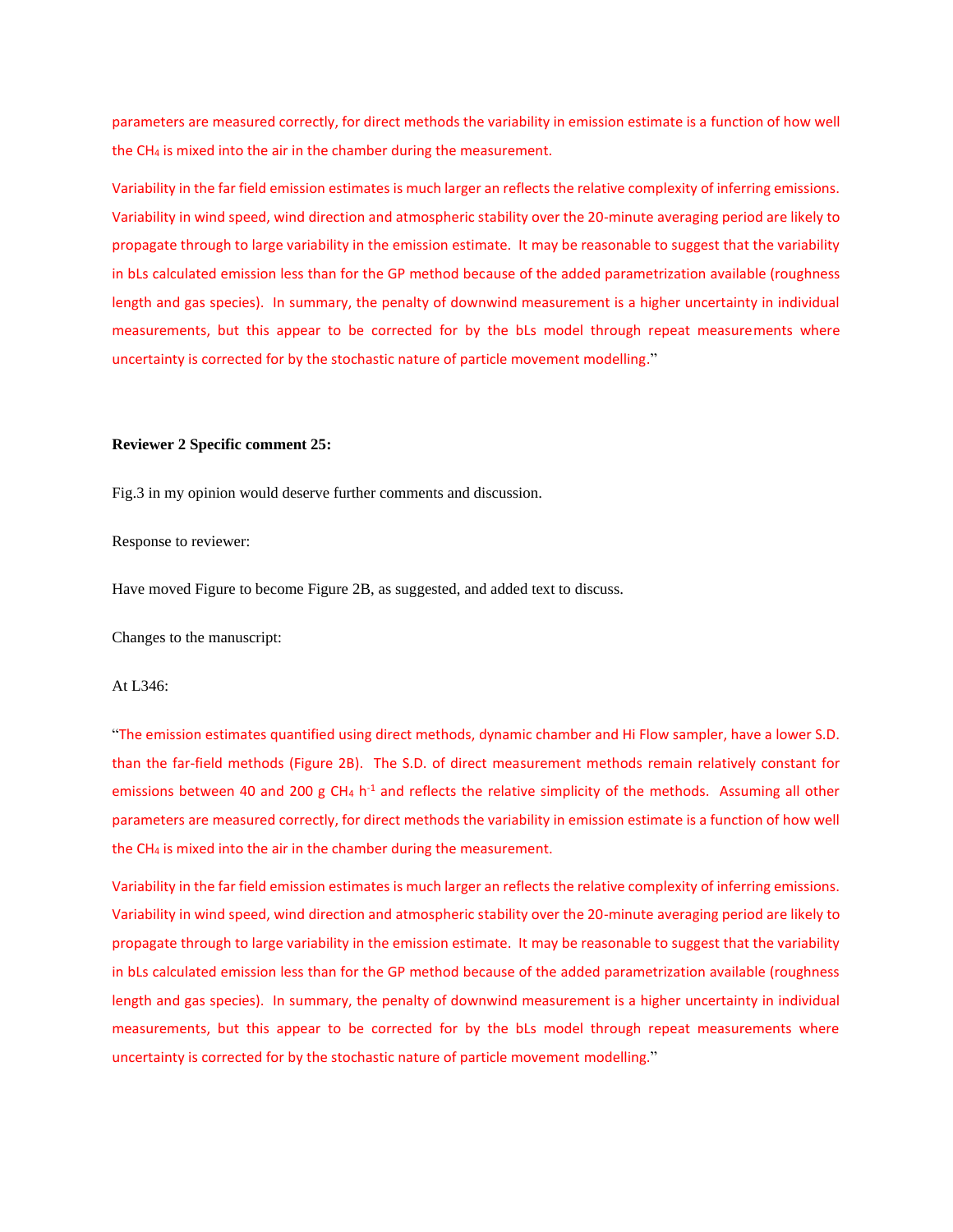parameters are measured correctly, for direct methods the variability in emission estimate is a function of how well the CH<sup>4</sup> is mixed into the air in the chamber during the measurement.

Variability in the far field emission estimates is much larger an reflects the relative complexity of inferring emissions. Variability in wind speed, wind direction and atmospheric stability over the 20-minute averaging period are likely to propagate through to large variability in the emission estimate. It may be reasonable to suggest that the variability in bLs calculated emission less than for the GP method because of the added parametrization available (roughness length and gas species). In summary, the penalty of downwind measurement is a higher uncertainty in individual measurements, but this appear to be corrected for by the bLs model through repeat measurements where uncertainty is corrected for by the stochastic nature of particle movement modelling."

### **Reviewer 2 Specific comment 25:**

Fig.3 in my opinion would deserve further comments and discussion.

Response to reviewer:

Have moved Figure to become Figure 2B, as suggested, and added text to discuss.

Changes to the manuscript:

#### At L346:

"The emission estimates quantified using direct methods, dynamic chamber and Hi Flow sampler, have a lower S.D. than the far-field methods (Figure 2B). The S.D. of direct measurement methods remain relatively constant for emissions between 40 and 200 g CH<sub>4</sub> h<sup>-1</sup> and reflects the relative simplicity of the methods. Assuming all other parameters are measured correctly, for direct methods the variability in emission estimate is a function of how well the CH<sup>4</sup> is mixed into the air in the chamber during the measurement.

Variability in the far field emission estimates is much larger an reflects the relative complexity of inferring emissions. Variability in wind speed, wind direction and atmospheric stability over the 20-minute averaging period are likely to propagate through to large variability in the emission estimate. It may be reasonable to suggest that the variability in bLs calculated emission less than for the GP method because of the added parametrization available (roughness length and gas species). In summary, the penalty of downwind measurement is a higher uncertainty in individual measurements, but this appear to be corrected for by the bLs model through repeat measurements where uncertainty is corrected for by the stochastic nature of particle movement modelling."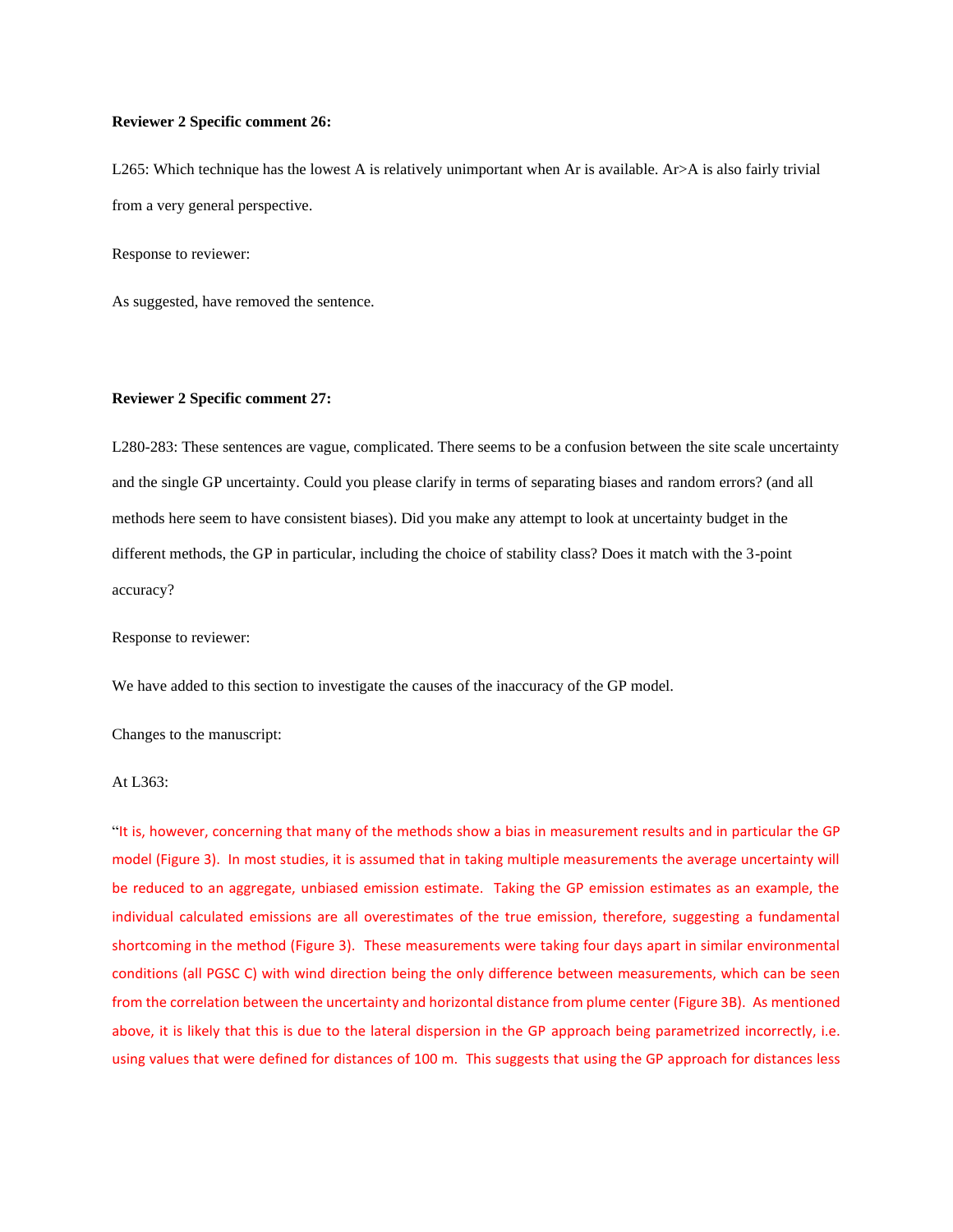### **Reviewer 2 Specific comment 26:**

L265: Which technique has the lowest A is relatively unimportant when Ar is available. Ar>A is also fairly trivial from a very general perspective.

Response to reviewer:

As suggested, have removed the sentence.

### **Reviewer 2 Specific comment 27:**

L280-283: These sentences are vague, complicated. There seems to be a confusion between the site scale uncertainty and the single GP uncertainty. Could you please clarify in terms of separating biases and random errors? (and all methods here seem to have consistent biases). Did you make any attempt to look at uncertainty budget in the different methods, the GP in particular, including the choice of stability class? Does it match with the 3-point accuracy?

Response to reviewer:

We have added to this section to investigate the causes of the inaccuracy of the GP model.

Changes to the manuscript:

## At L363:

"It is, however, concerning that many of the methods show a bias in measurement results and in particular the GP model (Figure 3). In most studies, it is assumed that in taking multiple measurements the average uncertainty will be reduced to an aggregate, unbiased emission estimate. Taking the GP emission estimates as an example, the individual calculated emissions are all overestimates of the true emission, therefore, suggesting a fundamental shortcoming in the method (Figure 3). These measurements were taking four days apart in similar environmental conditions (all PGSC C) with wind direction being the only difference between measurements, which can be seen from the correlation between the uncertainty and horizontal distance from plume center (Figure 3B). As mentioned above, it is likely that this is due to the lateral dispersion in the GP approach being parametrized incorrectly, i.e. using values that were defined for distances of 100 m. This suggests that using the GP approach for distances less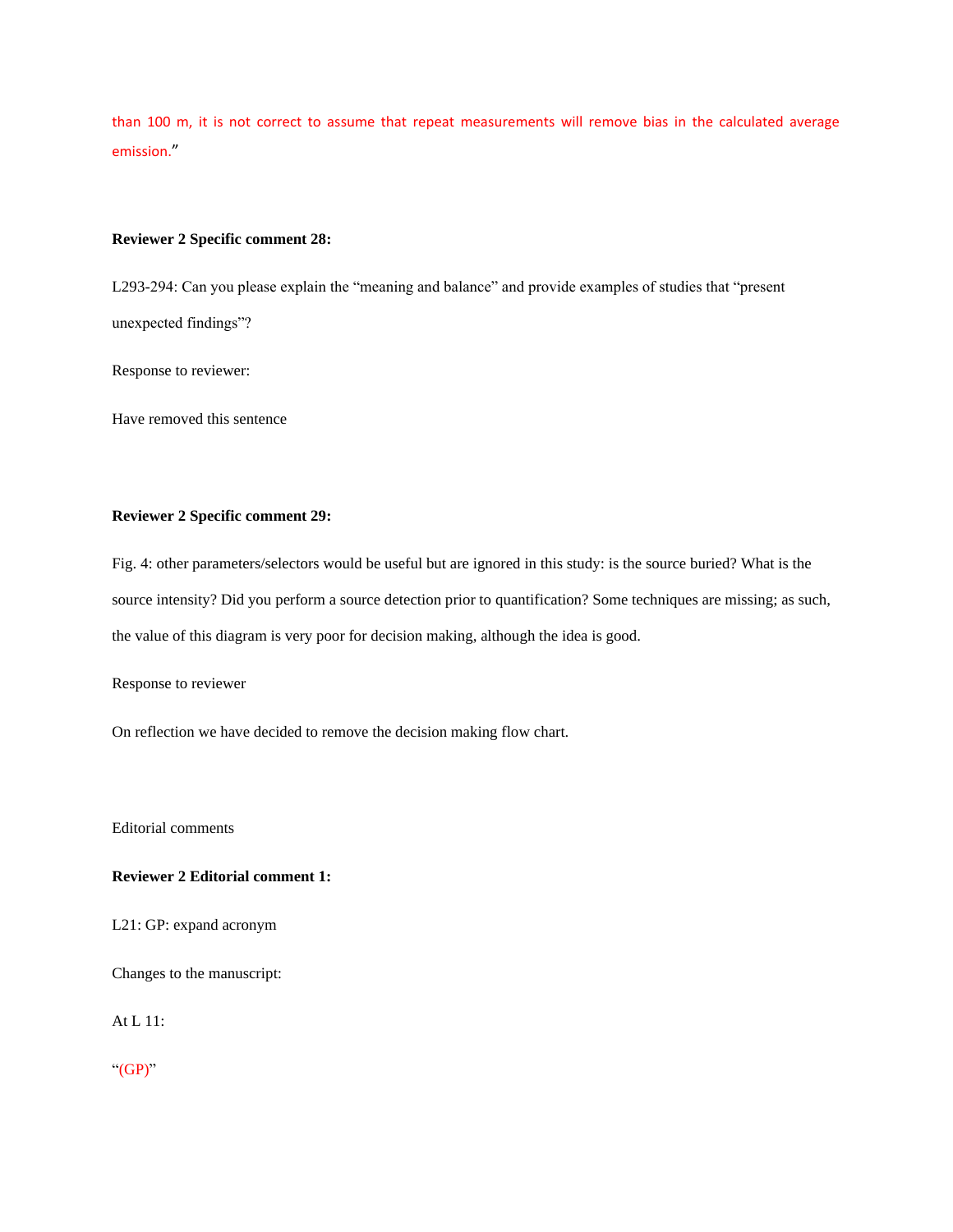than 100 m, it is not correct to assume that repeat measurements will remove bias in the calculated average emission."

### **Reviewer 2 Specific comment 28:**

L293-294: Can you please explain the "meaning and balance" and provide examples of studies that "present unexpected findings"?

Response to reviewer:

Have removed this sentence

# **Reviewer 2 Specific comment 29:**

Fig. 4: other parameters/selectors would be useful but are ignored in this study: is the source buried? What is the source intensity? Did you perform a source detection prior to quantification? Some techniques are missing; as such, the value of this diagram is very poor for decision making, although the idea is good.

Response to reviewer

On reflection we have decided to remove the decision making flow chart.

Editorial comments

## **Reviewer 2 Editorial comment 1:**

L21: GP: expand acronym

Changes to the manuscript:

At L 11:

" $(GP)$ "